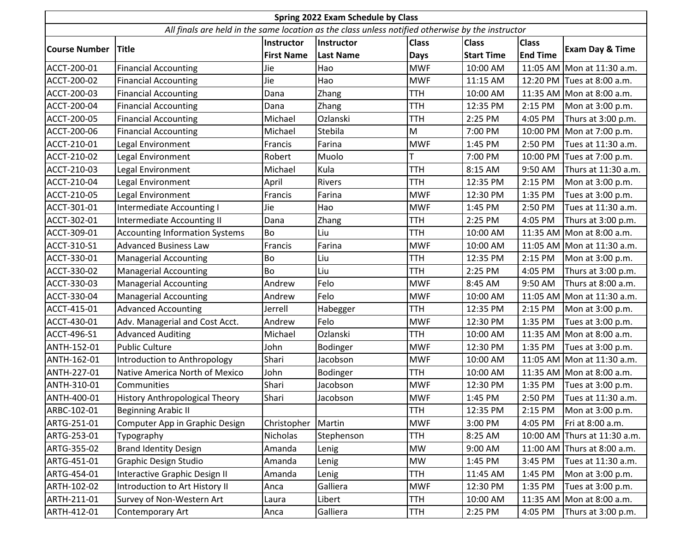| Spring 2022 Exam Schedule by Class                                                                |                                       |                   |                  |              |                   |                 |                              |  |  |
|---------------------------------------------------------------------------------------------------|---------------------------------------|-------------------|------------------|--------------|-------------------|-----------------|------------------------------|--|--|
| All finals are held in the same location as the class unless notified otherwise by the instructor |                                       |                   |                  |              |                   |                 |                              |  |  |
| <b>Course Number</b>                                                                              | <b>Title</b>                          | Instructor        | Instructor       | <b>Class</b> | <b>Class</b>      | <b>Class</b>    |                              |  |  |
|                                                                                                   |                                       | <b>First Name</b> | <b>Last Name</b> | <b>Days</b>  | <b>Start Time</b> | <b>End Time</b> | <b>Exam Day &amp; Time</b>   |  |  |
| ACCT-200-01                                                                                       | <b>Financial Accounting</b>           | Jie               | Hao              | <b>MWF</b>   | 10:00 AM          |                 | 11:05 AM Mon at 11:30 a.m.   |  |  |
| ACCT-200-02                                                                                       | <b>Financial Accounting</b>           | Jie               | Hao              | <b>MWF</b>   | 11:15 AM          |                 | 12:20 PM Tues at 8:00 a.m.   |  |  |
| ACCT-200-03                                                                                       | <b>Financial Accounting</b>           | Dana              | Zhang            | TTH          | 10:00 AM          |                 | 11:35 AM Mon at 8:00 a.m.    |  |  |
| ACCT-200-04                                                                                       | <b>Financial Accounting</b>           | Dana              | Zhang            | <b>TTH</b>   | 12:35 PM          | 2:15 PM         | Mon at 3:00 p.m.             |  |  |
| ACCT-200-05                                                                                       | <b>Financial Accounting</b>           | Michael           | Ozlanski         | <b>TTH</b>   | 2:25 PM           | 4:05 PM         | Thurs at 3:00 p.m.           |  |  |
| ACCT-200-06                                                                                       | <b>Financial Accounting</b>           | Michael           | Stebila          | M            | 7:00 PM           |                 | 10:00 PM Mon at 7:00 p.m.    |  |  |
| ACCT-210-01                                                                                       | Legal Environment                     | Francis           | Farina           | <b>MWF</b>   | 1:45 PM           | 2:50 PM         | Tues at 11:30 a.m.           |  |  |
| ACCT-210-02                                                                                       | Legal Environment                     | Robert            | Muolo            |              | 7:00 PM           | 10:00 PM        | Tues at 7:00 p.m.            |  |  |
| ACCT-210-03                                                                                       | Legal Environment                     | Michael           | Kula             | TTH          | 8:15 AM           | 9:50 AM         | Thurs at 11:30 a.m.          |  |  |
| ACCT-210-04                                                                                       | Legal Environment                     | April             | Rivers           | <b>TTH</b>   | 12:35 PM          | 2:15 PM         | Mon at 3:00 p.m.             |  |  |
| ACCT-210-05                                                                                       | Legal Environment                     | Francis           | Farina           | <b>MWF</b>   | 12:30 PM          | 1:35 PM         | Tues at 3:00 p.m.            |  |  |
| ACCT-301-01                                                                                       | Intermediate Accounting I             | Jie               | Hao              | <b>MWF</b>   | 1:45 PM           | 2:50 PM         | Tues at 11:30 a.m.           |  |  |
| ACCT-302-01                                                                                       | <b>Intermediate Accounting II</b>     | Dana              | Zhang            | <b>TTH</b>   | 2:25 PM           | 4:05 PM         | Thurs at 3:00 p.m.           |  |  |
| ACCT-309-01                                                                                       | <b>Accounting Information Systems</b> | Bo                | Liu              | <b>TTH</b>   | 10:00 AM          |                 | 11:35 AM Mon at 8:00 a.m.    |  |  |
| ACCT-310-S1                                                                                       | <b>Advanced Business Law</b>          | Francis           | Farina           | <b>MWF</b>   | 10:00 AM          |                 | 11:05 AM Mon at 11:30 a.m.   |  |  |
| ACCT-330-01                                                                                       | <b>Managerial Accounting</b>          | Bo                | Liu              | <b>TTH</b>   | 12:35 PM          | 2:15 PM         | Mon at 3:00 p.m.             |  |  |
| ACCT-330-02                                                                                       | <b>Managerial Accounting</b>          | Bo                | Liu              | <b>TTH</b>   | 2:25 PM           | 4:05 PM         | Thurs at 3:00 p.m.           |  |  |
| ACCT-330-03                                                                                       | <b>Managerial Accounting</b>          | Andrew            | Felo             | <b>MWF</b>   | 8:45 AM           | 9:50 AM         | Thurs at 8:00 a.m.           |  |  |
| ACCT-330-04                                                                                       | <b>Managerial Accounting</b>          | Andrew            | Felo             | <b>MWF</b>   | 10:00 AM          |                 | 11:05 AM Mon at 11:30 a.m.   |  |  |
| ACCT-415-01                                                                                       | <b>Advanced Accounting</b>            | Jerrell           | Habegger         | <b>TTH</b>   | 12:35 PM          | 2:15 PM         | Mon at 3:00 p.m.             |  |  |
| ACCT-430-01                                                                                       | Adv. Managerial and Cost Acct.        | Andrew            | Felo             | <b>MWF</b>   | 12:30 PM          | 1:35 PM         | Tues at 3:00 p.m.            |  |  |
| ACCT-496-S1                                                                                       | <b>Advanced Auditing</b>              | Michael           | Ozlanski         | TTH          | 10:00 AM          |                 | 11:35 AM Mon at 8:00 a.m.    |  |  |
| ANTH-152-01                                                                                       | <b>Public Culture</b>                 | John              | Bodinger         | <b>MWF</b>   | 12:30 PM          | 1:35 PM         | Tues at 3:00 p.m.            |  |  |
| ANTH-162-01                                                                                       | Introduction to Anthropology          | Shari             | Jacobson         | <b>MWF</b>   | 10:00 AM          |                 | 11:05 AM Mon at 11:30 a.m.   |  |  |
| ANTH-227-01                                                                                       | Native America North of Mexico        | John              | Bodinger         | <b>TTH</b>   | 10:00 AM          |                 | 11:35 AM Mon at 8:00 a.m.    |  |  |
| ANTH-310-01                                                                                       | Communities                           | Shari             | Jacobson         | <b>MWF</b>   | 12:30 PM          | 1:35 PM         | Tues at 3:00 p.m.            |  |  |
| ANTH-400-01                                                                                       | History Anthropological Theory        | Shari             | Jacobson         | <b>MWF</b>   | 1:45 PM           | 2:50 PM         | Tues at 11:30 a.m.           |  |  |
| ARBC-102-01                                                                                       | <b>Beginning Arabic II</b>            |                   |                  | <b>TTH</b>   | 12:35 PM          | 2:15 PM         | Mon at 3:00 p.m.             |  |  |
| ARTG-251-01                                                                                       | Computer App in Graphic Design        | Christopher       | Martin           | <b>MWF</b>   | 3:00 PM           | 4:05 PM         | Fri at 8:00 a.m.             |  |  |
| ARTG-253-01                                                                                       | Typography                            | Nicholas          | Stephenson       | <b>TTH</b>   | 8:25 AM           |                 | 10:00 AM Thurs at 11:30 a.m. |  |  |
| ARTG-355-02                                                                                       | <b>Brand Identity Design</b>          | Amanda            | Lenig            | <b>MW</b>    | 9:00 AM           |                 | 11:00 AM Thurs at 8:00 a.m.  |  |  |
| ARTG-451-01                                                                                       | <b>Graphic Design Studio</b>          | Amanda            | Lenig            | MW           | 1:45 PM           | 3:45 PM         | Tues at 11:30 a.m.           |  |  |
| ARTG-454-01                                                                                       | Interactive Graphic Design II         | Amanda            | Lenig            | <b>TTH</b>   | 11:45 AM          | 1:45 PM         | Mon at 3:00 p.m.             |  |  |
| ARTH-102-02                                                                                       | Introduction to Art History II        | Anca              | Galliera         | <b>MWF</b>   | 12:30 PM          | 1:35 PM         | Tues at 3:00 p.m.            |  |  |
| ARTH-211-01                                                                                       | Survey of Non-Western Art             | Laura             | Libert           | <b>TTH</b>   | 10:00 AM          |                 | 11:35 AM Mon at 8:00 a.m.    |  |  |
| ARTH-412-01                                                                                       | Contemporary Art                      | Anca              | Galliera         | <b>TTH</b>   | 2:25 PM           | 4:05 PM         | Thurs at 3:00 p.m.           |  |  |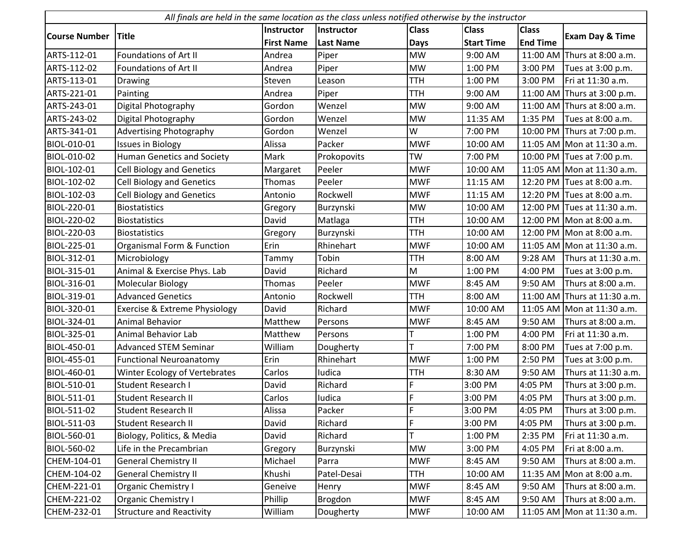|                      | All finals are held in the same location as the class unless notified otherwise by the instructor |                   |                  |              |                   |                 |                              |  |  |
|----------------------|---------------------------------------------------------------------------------------------------|-------------------|------------------|--------------|-------------------|-----------------|------------------------------|--|--|
|                      |                                                                                                   | Instructor        | Instructor       | <b>Class</b> | <b>Class</b>      | <b>Class</b>    |                              |  |  |
| <b>Course Number</b> | <b>Title</b>                                                                                      | <b>First Name</b> | <b>Last Name</b> | <b>Days</b>  | <b>Start Time</b> | <b>End Time</b> | <b>Exam Day &amp; Time</b>   |  |  |
| ARTS-112-01          | <b>Foundations of Art II</b>                                                                      | Andrea            | Piper            | <b>MW</b>    | 9:00 AM           |                 | 11:00 AM Thurs at 8:00 a.m.  |  |  |
| ARTS-112-02          | Foundations of Art II                                                                             | Andrea            | Piper            | <b>MW</b>    | 1:00 PM           | 3:00 PM         | Tues at 3:00 p.m.            |  |  |
| ARTS-113-01          | Drawing                                                                                           | Steven            | Leason           | <b>TTH</b>   | 1:00 PM           | 3:00 PM         | Fri at 11:30 a.m.            |  |  |
| ARTS-221-01          | Painting                                                                                          | Andrea            | Piper            | <b>TTH</b>   | 9:00 AM           |                 | 11:00 AM Thurs at 3:00 p.m.  |  |  |
| ARTS-243-01          | Digital Photography                                                                               | Gordon            | Wenzel           | <b>MW</b>    | 9:00 AM           |                 | 11:00 AM Thurs at 8:00 a.m.  |  |  |
| ARTS-243-02          | Digital Photography                                                                               | Gordon            | Wenzel           | <b>MW</b>    | 11:35 AM          | 1:35 PM         | Tues at 8:00 a.m.            |  |  |
| ARTS-341-01          | <b>Advertising Photography</b>                                                                    | Gordon            | Wenzel           | W            | 7:00 PM           |                 | 10:00 PM Thurs at 7:00 p.m.  |  |  |
| BIOL-010-01          | <b>Issues in Biology</b>                                                                          | Alissa            | Packer           | <b>MWF</b>   | 10:00 AM          |                 | 11:05 AM Mon at 11:30 a.m.   |  |  |
| BIOL-010-02          | <b>Human Genetics and Society</b>                                                                 | Mark              | Prokopovits      | <b>TW</b>    | 7:00 PM           |                 | 10:00 PM Tues at 7:00 p.m.   |  |  |
| BIOL-102-01          | <b>Cell Biology and Genetics</b>                                                                  | Margaret          | Peeler           | <b>MWF</b>   | 10:00 AM          |                 | 11:05 AM Mon at 11:30 a.m.   |  |  |
| BIOL-102-02          | <b>Cell Biology and Genetics</b>                                                                  | Thomas            | Peeler           | <b>MWF</b>   | 11:15 AM          |                 | 12:20 PM Tues at 8:00 a.m.   |  |  |
| BIOL-102-03          | <b>Cell Biology and Genetics</b>                                                                  | Antonio           | Rockwell         | <b>MWF</b>   | 11:15 AM          |                 | 12:20 PM Tues at 8:00 a.m.   |  |  |
| BIOL-220-01          | <b>Biostatistics</b>                                                                              | Gregory           | Burzynski        | <b>MW</b>    | 10:00 AM          |                 | 12:00 PM Tues at 11:30 a.m.  |  |  |
| BIOL-220-02          | <b>Biostatistics</b>                                                                              | David             | Matlaga          | <b>TTH</b>   | 10:00 AM          |                 | 12:00 PM Mon at 8:00 a.m.    |  |  |
| BIOL-220-03          | <b>Biostatistics</b>                                                                              | Gregory           | Burzynski        | <b>TTH</b>   | 10:00 AM          |                 | 12:00 PM Mon at 8:00 a.m.    |  |  |
| BIOL-225-01          | Organismal Form & Function                                                                        | Erin              | Rhinehart        | <b>MWF</b>   | 10:00 AM          |                 | 11:05 AM Mon at 11:30 a.m.   |  |  |
| BIOL-312-01          | Microbiology                                                                                      | Tammy             | Tobin            | <b>TTH</b>   | 8:00 AM           | 9:28 AM         | Thurs at 11:30 a.m.          |  |  |
| BIOL-315-01          | Animal & Exercise Phys. Lab                                                                       | David             | Richard          | M            | 1:00 PM           | 4:00 PM         | Tues at 3:00 p.m.            |  |  |
| BIOL-316-01          | Molecular Biology                                                                                 | Thomas            | Peeler           | <b>MWF</b>   | 8:45 AM           | 9:50 AM         | Thurs at 8:00 a.m.           |  |  |
| BIOL-319-01          | <b>Advanced Genetics</b>                                                                          | Antonio           | Rockwell         | <b>TTH</b>   | 8:00 AM           |                 | 11:00 AM Thurs at 11:30 a.m. |  |  |
| BIOL-320-01          | <b>Exercise &amp; Extreme Physiology</b>                                                          | David             | Richard          | <b>MWF</b>   | 10:00 AM          |                 | 11:05 AM Mon at 11:30 a.m.   |  |  |
| BIOL-324-01          | Animal Behavior                                                                                   | Matthew           | Persons          | <b>MWF</b>   | 8:45 AM           | 9:50 AM         | Thurs at 8:00 a.m.           |  |  |
| BIOL-325-01          | <b>Animal Behavior Lab</b>                                                                        | Matthew           | Persons          |              | 1:00 PM           | 4:00 PM         | Fri at 11:30 a.m.            |  |  |
| BIOL-450-01          | <b>Advanced STEM Seminar</b>                                                                      | William           | Dougherty        |              | 7:00 PM           | 8:00 PM         | Tues at 7:00 p.m.            |  |  |
| BIOL-455-01          | <b>Functional Neuroanatomy</b>                                                                    | Erin              | Rhinehart        | <b>MWF</b>   | 1:00 PM           | 2:50 PM         | Tues at 3:00 p.m.            |  |  |
| BIOL-460-01          | Winter Ecology of Vertebrates                                                                     | Carlos            | <b>ludica</b>    | <b>TTH</b>   | 8:30 AM           | 9:50 AM         | Thurs at 11:30 a.m.          |  |  |
| BIOL-510-01          | <b>Student Research I</b>                                                                         | David             | Richard          | F            | 3:00 PM           | 4:05 PM         | Thurs at 3:00 p.m.           |  |  |
| BIOL-511-01          | <b>Student Research II</b>                                                                        | Carlos            | ludica           | F            | 3:00 PM           | 4:05 PM         | Thurs at 3:00 p.m.           |  |  |
| BIOL-511-02          | <b>Student Research II</b>                                                                        | Alissa            | Packer           | F            | 3:00 PM           | 4:05 PM         | Thurs at 3:00 p.m.           |  |  |
| BIOL-511-03          | Student Research II                                                                               | David             | Richard          | F            | 3:00 PM           | 4:05 PM         | Thurs at 3:00 p.m.           |  |  |
| BIOL-560-01          | Biology, Politics, & Media                                                                        | David             | Richard          |              | 1:00 PM           | 2:35 PM         | Fri at 11:30 a.m.            |  |  |
| BIOL-560-02          | Life in the Precambrian                                                                           | Gregory           | Burzynski        | <b>MW</b>    | 3:00 PM           | 4:05 PM         | Fri at 8:00 a.m.             |  |  |
| CHEM-104-01          | <b>General Chemistry II</b>                                                                       | Michael           | Parra            | <b>MWF</b>   | 8:45 AM           | 9:50 AM         | Thurs at 8:00 a.m.           |  |  |
| CHEM-104-02          | <b>General Chemistry II</b>                                                                       | Khushi            | Patel-Desai      | <b>TTH</b>   | 10:00 AM          | 11:35 AM        | Mon at 8:00 a.m.             |  |  |
| CHEM-221-01          | Organic Chemistry I                                                                               | Geneive           | Henry            | <b>MWF</b>   | 8:45 AM           | 9:50 AM         | Thurs at 8:00 a.m.           |  |  |
| CHEM-221-02          | Organic Chemistry I                                                                               | Phillip           | Brogdon          | <b>MWF</b>   | 8:45 AM           | 9:50 AM         | Thurs at 8:00 a.m.           |  |  |
| CHEM-232-01          | <b>Structure and Reactivity</b>                                                                   | William           | Dougherty        | <b>MWF</b>   | 10:00 AM          |                 | 11:05 AM Mon at 11:30 a.m.   |  |  |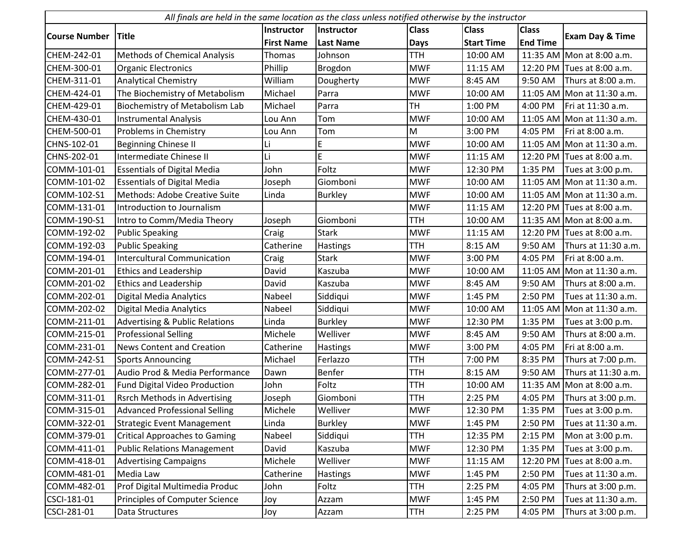| All finals are held in the same location as the class unless notified otherwise by the instructor |                                           |                   |                  |              |                   |                 |                              |  |
|---------------------------------------------------------------------------------------------------|-------------------------------------------|-------------------|------------------|--------------|-------------------|-----------------|------------------------------|--|
|                                                                                                   |                                           | Instructor        | Instructor       | <b>Class</b> | <b>Class</b>      | <b>Class</b>    |                              |  |
| <b>Course Number</b>                                                                              | <b>Title</b>                              | <b>First Name</b> | <b>Last Name</b> | <b>Days</b>  | <b>Start Time</b> | <b>End Time</b> | <b>Exam Day &amp; Time</b>   |  |
| CHEM-242-01                                                                                       | Methods of Chemical Analysis              | Thomas            | Johnson          | <b>TTH</b>   | 10:00 AM          |                 | 11:35 AM Mon at 8:00 a.m.    |  |
| CHEM-300-01                                                                                       | <b>Organic Electronics</b>                | Phillip           | Brogdon          | <b>MWF</b>   | 11:15 AM          |                 | 12:20 PM Tues at 8:00 a.m.   |  |
| CHEM-311-01                                                                                       | <b>Analytical Chemistry</b>               | William           | Dougherty        | <b>MWF</b>   | 8:45 AM           | 9:50 AM         | Thurs at 8:00 a.m.           |  |
| CHEM-424-01                                                                                       | The Biochemistry of Metabolism            | Michael           | Parra            | <b>MWF</b>   | 10:00 AM          |                 | 11:05 AM Mon at 11:30 a.m.   |  |
| CHEM-429-01                                                                                       | Biochemistry of Metabolism Lab            | Michael           | Parra            | <b>TH</b>    | 1:00 PM           | 4:00 PM         | Fri at 11:30 a.m.            |  |
| CHEM-430-01                                                                                       | <b>Instrumental Analysis</b>              | Lou Ann           | Tom              | <b>MWF</b>   | 10:00 AM          |                 | 11:05 AM Mon at 11:30 a.m.   |  |
| CHEM-500-01                                                                                       | Problems in Chemistry                     | Lou Ann           | Tom              | M            | 3:00 PM           | 4:05 PM         | Fri at 8:00 a.m.             |  |
| CHNS-102-01                                                                                       | <b>Beginning Chinese II</b>               | Li                | E                | <b>MWF</b>   | 10:00 AM          |                 | 11:05 AM   Mon at 11:30 a.m. |  |
| CHNS-202-01                                                                                       | Intermediate Chinese II                   | Li                | E                | <b>MWF</b>   | 11:15 AM          |                 | 12:20 PM Tues at 8:00 a.m.   |  |
| COMM-101-01                                                                                       | <b>Essentials of Digital Media</b>        | John              | Foltz            | <b>MWF</b>   | 12:30 PM          | 1:35 PM         | Tues at 3:00 p.m.            |  |
| COMM-101-02                                                                                       | <b>Essentials of Digital Media</b>        | Joseph            | Giomboni         | <b>MWF</b>   | 10:00 AM          |                 | 11:05 AM Mon at 11:30 a.m.   |  |
| COMM-102-S1                                                                                       | Methods: Adobe Creative Suite             | Linda             | <b>Burkley</b>   | <b>MWF</b>   | 10:00 AM          |                 | 11:05 AM Mon at 11:30 a.m.   |  |
| COMM-131-01                                                                                       | Introduction to Journalism                |                   |                  | <b>MWF</b>   | 11:15 AM          |                 | 12:20 PM Tues at 8:00 a.m.   |  |
| COMM-190-S1                                                                                       | Intro to Comm/Media Theory                | Joseph            | Giomboni         | <b>TTH</b>   | 10:00 AM          |                 | 11:35 AM Mon at 8:00 a.m.    |  |
| COMM-192-02                                                                                       | <b>Public Speaking</b>                    | Craig             | <b>Stark</b>     | <b>MWF</b>   | 11:15 AM          |                 | 12:20 PM Tues at 8:00 a.m.   |  |
| COMM-192-03                                                                                       | <b>Public Speaking</b>                    | Catherine         | Hastings         | <b>TTH</b>   | 8:15 AM           | 9:50 AM         | Thurs at 11:30 a.m.          |  |
| COMM-194-01                                                                                       | <b>Intercultural Communication</b>        | Craig             | <b>Stark</b>     | <b>MWF</b>   | 3:00 PM           | 4:05 PM         | Fri at 8:00 a.m.             |  |
| COMM-201-01                                                                                       | <b>Ethics and Leadership</b>              | David             | Kaszuba          | <b>MWF</b>   | 10:00 AM          |                 | 11:05 AM Mon at 11:30 a.m.   |  |
| COMM-201-02                                                                                       | <b>Ethics and Leadership</b>              | David             | Kaszuba          | <b>MWF</b>   | 8:45 AM           | 9:50 AM         | Thurs at 8:00 a.m.           |  |
| COMM-202-01                                                                                       | Digital Media Analytics                   | Nabeel            | Siddiqui         | <b>MWF</b>   | 1:45 PM           | 2:50 PM         | Tues at 11:30 a.m.           |  |
| COMM-202-02                                                                                       | Digital Media Analytics                   | Nabeel            | Siddiqui         | <b>MWF</b>   | 10:00 AM          |                 | 11:05 AM   Mon at 11:30 a.m. |  |
| COMM-211-01                                                                                       | <b>Advertising &amp; Public Relations</b> | Linda             | <b>Burkley</b>   | <b>MWF</b>   | 12:30 PM          | 1:35 PM         | Tues at 3:00 p.m.            |  |
| COMM-215-01                                                                                       | <b>Professional Selling</b>               | Michele           | Welliver         | <b>MWF</b>   | 8:45 AM           | 9:50 AM         | Thurs at 8:00 a.m.           |  |
| COMM-231-01                                                                                       | <b>News Content and Creation</b>          | Catherine         | Hastings         | <b>MWF</b>   | 3:00 PM           | 4:05 PM         | Fri at 8:00 a.m.             |  |
| COMM-242-S1                                                                                       | <b>Sports Announcing</b>                  | Michael           | Ferlazzo         | <b>TTH</b>   | 7:00 PM           | 8:35 PM         | Thurs at 7:00 p.m.           |  |
| COMM-277-01                                                                                       | Audio Prod & Media Performance            | Dawn              | Benfer           | <b>TTH</b>   | 8:15 AM           | 9:50 AM         | Thurs at 11:30 a.m.          |  |
| COMM-282-01                                                                                       | Fund Digital Video Production             | John              | Foltz            | <b>TTH</b>   | 10:00 AM          | 11:35 AM        | Mon at 8:00 a.m.             |  |
| COMM-311-01                                                                                       | <b>Rsrch Methods in Advertising</b>       | Joseph            | Giomboni         | <b>TTH</b>   | 2:25 PM           | 4:05 PM         | Thurs at 3:00 p.m.           |  |
| COMM-315-01                                                                                       | <b>Advanced Professional Selling</b>      | Michele           | Welliver         | <b>MWF</b>   | 12:30 PM          | 1:35 PM         | Tues at 3:00 p.m.            |  |
| COMM-322-01                                                                                       | <b>Strategic Event Management</b>         | Linda             | Burkley          | <b>MWF</b>   | 1:45 PM           | 2:50 PM         | Tues at 11:30 a.m.           |  |
| COMM-379-01                                                                                       | <b>Critical Approaches to Gaming</b>      | Nabeel            | Siddiqui         | <b>TTH</b>   | 12:35 PM          | 2:15 PM         | Mon at 3:00 p.m.             |  |
| COMM-411-01                                                                                       | <b>Public Relations Management</b>        | David             | Kaszuba          | <b>MWF</b>   | 12:30 PM          | 1:35 PM         | Tues at 3:00 p.m.            |  |
| COMM-418-01                                                                                       | <b>Advertising Campaigns</b>              | Michele           | Welliver         | <b>MWF</b>   | 11:15 AM          | 12:20 PM        | Tues at 8:00 a.m.            |  |
| COMM-481-01                                                                                       | Media Law                                 | Catherine         | Hastings         | <b>MWF</b>   | 1:45 PM           | 2:50 PM         | Tues at 11:30 a.m.           |  |
| COMM-482-01                                                                                       | Prof Digital Multimedia Produc            | John              | Foltz            | <b>TTH</b>   | 2:25 PM           | 4:05 PM         | Thurs at 3:00 p.m.           |  |
| CSCI-181-01                                                                                       | Principles of Computer Science            | Joy               | Azzam            | <b>MWF</b>   | 1:45 PM           | 2:50 PM         | Tues at 11:30 a.m.           |  |
| CSCI-281-01                                                                                       | Data Structures                           | Joy               | Azzam            | <b>TTH</b>   | 2:25 PM           | 4:05 PM         | Thurs at 3:00 p.m.           |  |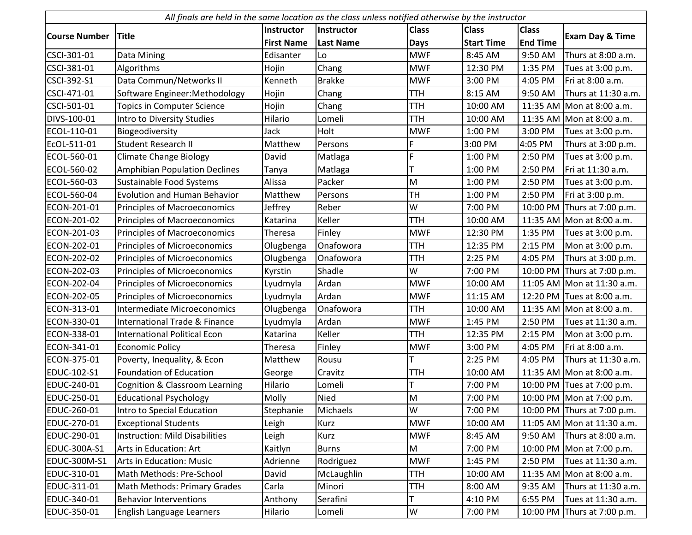| All finals are held in the same location as the class unless notified otherwise by the instructor |                                          |                   |                  |              |                   |                 |                             |  |  |
|---------------------------------------------------------------------------------------------------|------------------------------------------|-------------------|------------------|--------------|-------------------|-----------------|-----------------------------|--|--|
|                                                                                                   |                                          | <b>Instructor</b> | Instructor       | <b>Class</b> | <b>Class</b>      | <b>Class</b>    |                             |  |  |
| <b>Course Number</b>                                                                              | <b>Title</b>                             | <b>First Name</b> | <b>Last Name</b> | <b>Days</b>  | <b>Start Time</b> | <b>End Time</b> | <b>Exam Day &amp; Time</b>  |  |  |
| CSCI-301-01                                                                                       | Data Mining                              | Edisanter         | Lo               | <b>MWF</b>   | 8:45 AM           | 9:50 AM         | Thurs at 8:00 a.m.          |  |  |
| CSCI-381-01                                                                                       | Algorithms                               | Hojin             | Chang            | <b>MWF</b>   | 12:30 PM          | 1:35 PM         | Tues at 3:00 p.m.           |  |  |
| CSCI-392-S1                                                                                       | Data Commun/Networks II                  | Kenneth           | <b>Brakke</b>    | <b>MWF</b>   | 3:00 PM           | 4:05 PM         | Fri at 8:00 a.m.            |  |  |
| CSCI-471-01                                                                                       | Software Engineer: Methodology           | Hojin             | Chang            | <b>TTH</b>   | 8:15 AM           | 9:50 AM         | Thurs at 11:30 a.m.         |  |  |
| CSCI-501-01                                                                                       | <b>Topics in Computer Science</b>        | Hojin             | Chang            | <b>TTH</b>   | 10:00 AM          |                 | 11:35 AM Mon at 8:00 a.m.   |  |  |
| DIVS-100-01                                                                                       | Intro to Diversity Studies               | Hilario           | Lomeli           | <b>TTH</b>   | 10:00 AM          |                 | 11:35 AM Mon at 8:00 a.m.   |  |  |
| ECOL-110-01                                                                                       | Biogeodiversity                          | Jack              | Holt             | <b>MWF</b>   | 1:00 PM           | 3:00 PM         | Tues at 3:00 p.m.           |  |  |
| EcOL-511-01                                                                                       | <b>Student Research II</b>               | Matthew           | Persons          | F            | 3:00 PM           | 4:05 PM         | Thurs at 3:00 p.m.          |  |  |
| ECOL-560-01                                                                                       | <b>Climate Change Biology</b>            | David             | Matlaga          | Ē            | 1:00 PM           | 2:50 PM         | Tues at 3:00 p.m.           |  |  |
| ECOL-560-02                                                                                       | Amphibian Population Declines            | Tanya             | Matlaga          |              | 1:00 PM           | 2:50 PM         | Fri at 11:30 a.m.           |  |  |
| ECOL-560-03                                                                                       | Sustainable Food Systems                 | Alissa            | Packer           | M            | 1:00 PM           | 2:50 PM         | Tues at 3:00 p.m.           |  |  |
| ECOL-560-04                                                                                       | <b>Evolution and Human Behavior</b>      | Matthew           | Persons          | <b>TH</b>    | 1:00 PM           | 2:50 PM         | Fri at 3:00 p.m.            |  |  |
| ECON-201-01                                                                                       | Principles of Macroeconomics             | Jeffrey           | Reber            | W            | 7:00 PM           | 10:00 PM        | Thurs at 7:00 p.m.          |  |  |
| ECON-201-02                                                                                       | <b>Principles of Macroeconomics</b>      | Katarina          | Keller           | <b>TTH</b>   | 10:00 AM          |                 | 11:35 AM Mon at 8:00 a.m.   |  |  |
| ECON-201-03                                                                                       | Principles of Macroeconomics             | Theresa           | Finley           | <b>MWF</b>   | 12:30 PM          | 1:35 PM         | Tues at 3:00 p.m.           |  |  |
| ECON-202-01                                                                                       | Principles of Microeconomics             | Olugbenga         | Onafowora        | <b>TTH</b>   | 12:35 PM          | 2:15 PM         | Mon at 3:00 p.m.            |  |  |
| ECON-202-02                                                                                       | Principles of Microeconomics             | Olugbenga         | Onafowora        | TTH          | 2:25 PM           | 4:05 PM         | Thurs at 3:00 p.m.          |  |  |
| ECON-202-03                                                                                       | Principles of Microeconomics             | Kyrstin           | Shadle           | W            | 7:00 PM           |                 | 10:00 PM Thurs at 7:00 p.m. |  |  |
| ECON-202-04                                                                                       | Principles of Microeconomics             | Lyudmyla          | Ardan            | <b>MWF</b>   | 10:00 AM          |                 | 11:05 AM Mon at 11:30 a.m.  |  |  |
| ECON-202-05                                                                                       | Principles of Microeconomics             | Lyudmyla          | Ardan            | <b>MWF</b>   | 11:15 AM          | 12:20 PM        | Tues at 8:00 a.m.           |  |  |
| ECON-313-01                                                                                       | Intermediate Microeconomics              | Olugbenga         | Onafowora        | <b>TTH</b>   | 10:00 AM          |                 | 11:35 AM Mon at 8:00 a.m.   |  |  |
| ECON-330-01                                                                                       | <b>International Trade &amp; Finance</b> | Lyudmyla          | Ardan            | <b>MWF</b>   | 1:45 PM           | 2:50 PM         | Tues at 11:30 a.m.          |  |  |
| ECON-338-01                                                                                       | <b>International Political Econ</b>      | Katarina          | Keller           | <b>TTH</b>   | 12:35 PM          | 2:15 PM         | Mon at 3:00 p.m.            |  |  |
| ECON-341-01                                                                                       | <b>Economic Policy</b>                   | Theresa           | Finley           | <b>MWF</b>   | 3:00 PM           | 4:05 PM         | Fri at 8:00 a.m.            |  |  |
| ECON-375-01                                                                                       | Poverty, Inequality, & Econ              | Matthew           | Rousu            |              | 2:25 PM           | 4:05 PM         | Thurs at 11:30 a.m.         |  |  |
| EDUC-102-S1                                                                                       | <b>Foundation of Education</b>           | George            | Cravitz          | <b>TTH</b>   | 10:00 AM          |                 | 11:35 AM Mon at 8:00 a.m.   |  |  |
| EDUC-240-01                                                                                       | Cognition & Classroom Learning           | Hilario           | Lomeli           |              | 7:00 PM           |                 | 10:00 PM Tues at 7:00 p.m.  |  |  |
| EDUC-250-01                                                                                       | <b>Educational Psychology</b>            | Molly             | <b>Nied</b>      | M            | 7:00 PM           |                 | 10:00 PM Mon at 7:00 p.m.   |  |  |
| EDUC-260-01                                                                                       | Intro to Special Education               | Stephanie         | Michaels         | W            | 7:00 PM           |                 | 10:00 PM Thurs at 7:00 p.m. |  |  |
| EDUC-270-01                                                                                       | <b>Exceptional Students</b>              | Leigh             | Kurz             | <b>MWF</b>   | 10:00 AM          |                 | 11:05 AM Mon at 11:30 a.m.  |  |  |
| EDUC-290-01                                                                                       | <b>Instruction: Mild Disabilities</b>    | Leigh             | Kurz             | <b>MWF</b>   | 8:45 AM           | 9:50 AM         | Thurs at 8:00 a.m.          |  |  |
| EDUC-300A-S1                                                                                      | Arts in Education: Art                   | Kaitlyn           | <b>Burns</b>     | M            | 7:00 PM           | 10:00 PM        | Mon at 7:00 p.m.            |  |  |
| EDUC-300M-S1                                                                                      | Arts in Education: Music                 | Adrienne          | Rodriguez        | <b>MWF</b>   | 1:45 PM           | 2:50 PM         | Tues at 11:30 a.m.          |  |  |
| EDUC-310-01                                                                                       | Math Methods: Pre-School                 | David             | McLaughlin       | TTH          | 10:00 AM          | 11:35 AM        | Mon at 8:00 a.m.            |  |  |
| EDUC-311-01                                                                                       | Math Methods: Primary Grades             | Carla             | Minori           | TTH          | 8:00 AM           | 9:35 AM         | Thurs at 11:30 a.m.         |  |  |
| EDUC-340-01                                                                                       | <b>Behavior Interventions</b>            | Anthony           | Serafini         | Т            | 4:10 PM           | 6:55 PM         | Tues at 11:30 a.m.          |  |  |
| EDUC-350-01                                                                                       | English Language Learners                | Hilario           | Lomeli           | W            | 7:00 PM           | 10:00 PM        | Thurs at 7:00 p.m.          |  |  |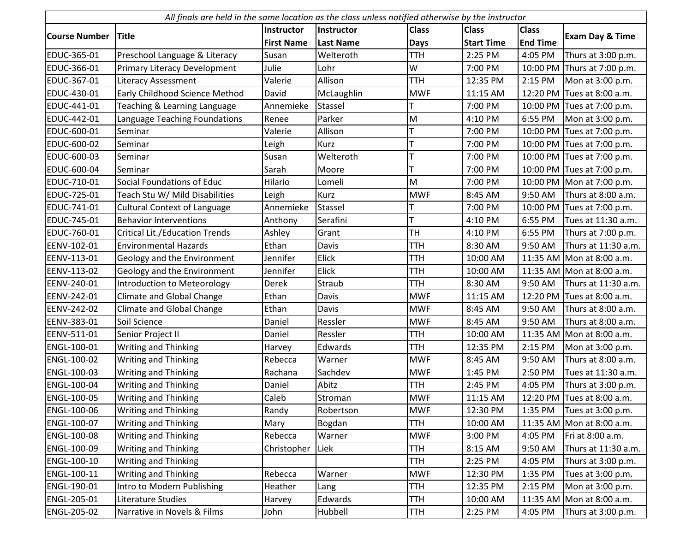| All finals are held in the same location as the class unless notified otherwise by the instructor |                                       |                   |                  |              |                   |                 |                             |  |
|---------------------------------------------------------------------------------------------------|---------------------------------------|-------------------|------------------|--------------|-------------------|-----------------|-----------------------------|--|
|                                                                                                   |                                       | Instructor        | Instructor       | <b>Class</b> | <b>Class</b>      | <b>Class</b>    |                             |  |
| <b>Course Number</b>                                                                              | <b>Title</b>                          | <b>First Name</b> | <b>Last Name</b> | <b>Days</b>  | <b>Start Time</b> | <b>End Time</b> | <b>Exam Day &amp; Time</b>  |  |
| EDUC-365-01                                                                                       | Preschool Language & Literacy         | Susan             | Welteroth        | <b>TTH</b>   | 2:25 PM           | 4:05 PM         | Thurs at 3:00 p.m.          |  |
| EDUC-366-01                                                                                       | Primary Literacy Development          | Julie             | Lohr             | W            | 7:00 PM           |                 | 10:00 PM Thurs at 7:00 p.m. |  |
| EDUC-367-01                                                                                       | <b>Literacy Assessment</b>            | Valerie           | Allison          | <b>TTH</b>   | 12:35 PM          | 2:15 PM         | Mon at 3:00 p.m.            |  |
| EDUC-430-01                                                                                       | Early Childhood Science Method        | David             | McLaughlin       | <b>MWF</b>   | 11:15 AM          |                 | 12:20 PM Tues at 8:00 a.m.  |  |
| EDUC-441-01                                                                                       | Teaching & Learning Language          | Annemieke         | <b>Stassel</b>   |              | 7:00 PM           |                 | 10:00 PM Tues at 7:00 p.m.  |  |
| EDUC-442-01                                                                                       | Language Teaching Foundations         | Renee             | Parker           | ${\sf M}$    | 4:10 PM           | 6:55 PM         | Mon at 3:00 p.m.            |  |
| EDUC-600-01                                                                                       | Seminar                               | Valerie           | Allison          |              | 7:00 PM           |                 | 10:00 PM Tues at 7:00 p.m.  |  |
| EDUC-600-02                                                                                       | Seminar                               | Leigh             | Kurz             |              | 7:00 PM           |                 | 10:00 PM Tues at 7:00 p.m.  |  |
| EDUC-600-03                                                                                       | Seminar                               | Susan             | Welteroth        |              | 7:00 PM           |                 | 10:00 PM Tues at 7:00 p.m.  |  |
| EDUC-600-04                                                                                       | Seminar                               | Sarah             | Moore            |              | 7:00 PM           |                 | 10:00 PM Tues at 7:00 p.m.  |  |
| EDUC-710-01                                                                                       | Social Foundations of Educ            | Hilario           | Lomeli           | M            | 7:00 PM           |                 | 10:00 PM Mon at 7:00 p.m.   |  |
| EDUC-725-01                                                                                       | Teach Stu W/ Mild Disabilities        | Leigh             | Kurz             | <b>MWF</b>   | 8:45 AM           | 9:50 AM         | Thurs at 8:00 a.m.          |  |
| EDUC-741-01                                                                                       | <b>Cultural Context of Language</b>   | Annemieke         | <b>Stassel</b>   |              | 7:00 PM           |                 | 10:00 PM Tues at 7:00 p.m.  |  |
| EDUC-745-01                                                                                       | <b>Behavior Interventions</b>         | Anthony           | Serafini         | т            | 4:10 PM           | 6:55 PM         | Tues at 11:30 a.m.          |  |
| EDUC-760-01                                                                                       | <b>Critical Lit./Education Trends</b> | Ashley            | Grant            | TH           | 4:10 PM           | 6:55 PM         | Thurs at 7:00 p.m.          |  |
| EENV-102-01                                                                                       | <b>Environmental Hazards</b>          | Ethan             | Davis            | <b>TTH</b>   | 8:30 AM           | 9:50 AM         | Thurs at 11:30 a.m.         |  |
| EENV-113-01                                                                                       | Geology and the Environment           | Jennifer          | Elick            | <b>TTH</b>   | 10:00 AM          |                 | 11:35 AM Mon at 8:00 a.m.   |  |
| EENV-113-02                                                                                       | Geology and the Environment           | Jennifer          | <b>Elick</b>     | <b>TTH</b>   | 10:00 AM          |                 | 11:35 AM Mon at 8:00 a.m.   |  |
| EENV-240-01                                                                                       | Introduction to Meteorology           | Derek             | Straub           | <b>TTH</b>   | 8:30 AM           | 9:50 AM         | Thurs at 11:30 a.m.         |  |
| EENV-242-01                                                                                       | <b>Climate and Global Change</b>      | Ethan             | Davis            | <b>MWF</b>   | 11:15 AM          |                 | 12:20 PM Tues at 8:00 a.m.  |  |
| EENV-242-02                                                                                       | <b>Climate and Global Change</b>      | Ethan             | Davis            | <b>MWF</b>   | 8:45 AM           | 9:50 AM         | Thurs at 8:00 a.m.          |  |
| EENV-383-01                                                                                       | Soil Science                          | Daniel            | Ressler          | <b>MWF</b>   | 8:45 AM           | 9:50 AM         | Thurs at 8:00 a.m.          |  |
| EENV-511-01                                                                                       | Senior Project II                     | Daniel            | Ressler          | <b>TTH</b>   | 10:00 AM          |                 | 11:35 AM Mon at 8:00 a.m.   |  |
| ENGL-100-01                                                                                       | <b>Writing and Thinking</b>           | Harvey            | Edwards          | <b>TTH</b>   | 12:35 PM          | 2:15 PM         | Mon at 3:00 p.m.            |  |
| ENGL-100-02                                                                                       | <b>Writing and Thinking</b>           | Rebecca           | Warner           | <b>MWF</b>   | 8:45 AM           | 9:50 AM         | Thurs at 8:00 a.m.          |  |
| ENGL-100-03                                                                                       | Writing and Thinking                  | Rachana           | Sachdev          | <b>MWF</b>   | 1:45 PM           | 2:50 PM         | Tues at 11:30 a.m.          |  |
| ENGL-100-04                                                                                       | <b>Writing and Thinking</b>           | Daniel            | Abitz            | <b>TTH</b>   | 2:45 PM           | 4:05 PM         | Thurs at 3:00 p.m.          |  |
| <b>ENGL-100-05</b>                                                                                | <b>Writing and Thinking</b>           | Caleb             | Stroman          | <b>MWF</b>   | 11:15 AM          |                 | 12:20 PM Tues at 8:00 a.m.  |  |
| ENGL-100-06                                                                                       | <b>Writing and Thinking</b>           | Randy             | Robertson        | <b>MWF</b>   | 12:30 PM          | 1:35 PM         | Tues at 3:00 p.m.           |  |
| ENGL-100-07                                                                                       | <b>Writing and Thinking</b>           | Mary              | Bogdan           | <b>TTH</b>   | 10:00 AM          | 11:35 AM        | Mon at 8:00 a.m.            |  |
| ENGL-100-08                                                                                       | <b>Writing and Thinking</b>           | Rebecca           | Warner           | <b>MWF</b>   | 3:00 PM           | 4:05 PM         | Fri at 8:00 a.m.            |  |
| ENGL-100-09                                                                                       | <b>Writing and Thinking</b>           | Christopher       | Liek             | <b>TTH</b>   | 8:15 AM           | 9:50 AM         | Thurs at 11:30 a.m.         |  |
| ENGL-100-10                                                                                       | <b>Writing and Thinking</b>           |                   |                  | <b>TTH</b>   | 2:25 PM           | 4:05 PM         | Thurs at 3:00 p.m.          |  |
| ENGL-100-11                                                                                       | <b>Writing and Thinking</b>           | Rebecca           | Warner           | <b>MWF</b>   | 12:30 PM          | 1:35 PM         | Tues at 3:00 p.m.           |  |
| ENGL-190-01                                                                                       | Intro to Modern Publishing            | Heather           | Lang             | <b>TTH</b>   | 12:35 PM          | 2:15 PM         | Mon at 3:00 p.m.            |  |
| ENGL-205-01                                                                                       | Literature Studies                    | Harvey            | Edwards          | <b>TTH</b>   | 10:00 AM          |                 | 11:35 AM Mon at 8:00 a.m.   |  |
| ENGL-205-02                                                                                       | Narrative in Novels & Films           | John              | Hubbell          | <b>TTH</b>   | 2:25 PM           | 4:05 PM         | Thurs at 3:00 p.m.          |  |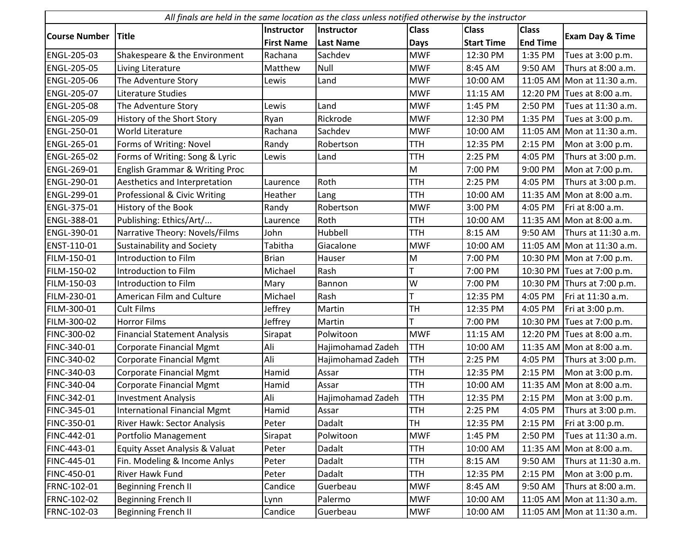| All finals are held in the same location as the class unless notified otherwise by the instructor |                                     |                   |                   |              |                   |                 |                             |  |
|---------------------------------------------------------------------------------------------------|-------------------------------------|-------------------|-------------------|--------------|-------------------|-----------------|-----------------------------|--|
|                                                                                                   |                                     | <b>Instructor</b> | Instructor        | <b>Class</b> | <b>Class</b>      | <b>Class</b>    |                             |  |
| <b>Course Number</b>                                                                              | <b>Title</b>                        | <b>First Name</b> | <b>Last Name</b>  | Days         | <b>Start Time</b> | <b>End Time</b> | <b>Exam Day &amp; Time</b>  |  |
| ENGL-205-03                                                                                       | Shakespeare & the Environment       | Rachana           | Sachdev           | <b>MWF</b>   | 12:30 PM          | 1:35 PM         | Tues at 3:00 p.m.           |  |
| <b>ENGL-205-05</b>                                                                                | Living Literature                   | Matthew           | Null              | <b>MWF</b>   | 8:45 AM           | 9:50 AM         | Thurs at 8:00 a.m.          |  |
| ENGL-205-06                                                                                       | The Adventure Story                 | Lewis             | Land              | <b>MWF</b>   | 10:00 AM          |                 | 11:05 AM Mon at 11:30 a.m.  |  |
| ENGL-205-07                                                                                       | Literature Studies                  |                   |                   | <b>MWF</b>   | 11:15 AM          |                 | 12:20 PM Tues at 8:00 a.m.  |  |
| ENGL-205-08                                                                                       | The Adventure Story                 | Lewis             | Land              | <b>MWF</b>   | 1:45 PM           | 2:50 PM         | Tues at 11:30 a.m.          |  |
| ENGL-205-09                                                                                       | History of the Short Story          | Ryan              | Rickrode          | <b>MWF</b>   | 12:30 PM          | 1:35 PM         | Tues at 3:00 p.m.           |  |
| ENGL-250-01                                                                                       | World Literature                    | Rachana           | Sachdev           | <b>MWF</b>   | 10:00 AM          |                 | 11:05 AM Mon at 11:30 a.m.  |  |
| ENGL-265-01                                                                                       | Forms of Writing: Novel             | Randy             | Robertson         | <b>TTH</b>   | 12:35 PM          | 2:15 PM         | Mon at 3:00 p.m.            |  |
| ENGL-265-02                                                                                       | Forms of Writing: Song & Lyric      | Lewis             | Land              | <b>TTH</b>   | 2:25 PM           | 4:05 PM         | Thurs at 3:00 p.m.          |  |
| ENGL-269-01                                                                                       | English Grammar & Writing Proc      |                   |                   | M            | 7:00 PM           | 9:00 PM         | Mon at 7:00 p.m.            |  |
| ENGL-290-01                                                                                       | Aesthetics and Interpretation       | Laurence          | Roth              | <b>TTH</b>   | 2:25 PM           | 4:05 PM         | Thurs at 3:00 p.m.          |  |
| ENGL-299-01                                                                                       | Professional & Civic Writing        | Heather           | Lang              | <b>TTH</b>   | 10:00 AM          |                 | 11:35 AM Mon at 8:00 a.m.   |  |
| ENGL-375-01                                                                                       | History of the Book                 | Randy             | Robertson         | <b>MWF</b>   | 3:00 PM           | 4:05 PM         | Fri at 8:00 a.m.            |  |
| ENGL-388-01                                                                                       | Publishing: Ethics/Art/             | Laurence          | Roth              | <b>TTH</b>   | 10:00 AM          |                 | 11:35 AM Mon at 8:00 a.m.   |  |
| ENGL-390-01                                                                                       | Narrative Theory: Novels/Films      | John              | Hubbell           | <b>TTH</b>   | 8:15 AM           | 9:50 AM         | Thurs at 11:30 a.m.         |  |
| ENST-110-01                                                                                       | Sustainability and Society          | Tabitha           | Giacalone         | <b>MWF</b>   | 10:00 AM          |                 | 11:05 AM Mon at 11:30 a.m.  |  |
| FILM-150-01                                                                                       | Introduction to Film                | <b>Brian</b>      | Hauser            | M            | 7:00 PM           |                 | 10:30 PM Mon at 7:00 p.m.   |  |
| FILM-150-02                                                                                       | Introduction to Film                | Michael           | Rash              |              | 7:00 PM           |                 | 10:30 PM Tues at 7:00 p.m.  |  |
| FILM-150-03                                                                                       | Introduction to Film                | Mary              | Bannon            | W            | 7:00 PM           |                 | 10:30 PM Thurs at 7:00 p.m. |  |
| FILM-230-01                                                                                       | American Film and Culture           | Michael           | Rash              | T            | 12:35 PM          | 4:05 PM         | Fri at 11:30 a.m.           |  |
| FILM-300-01                                                                                       | <b>Cult Films</b>                   | Jeffrey           | Martin            | <b>TH</b>    | 12:35 PM          | 4:05 PM         | Fri at 3:00 p.m.            |  |
| FILM-300-02                                                                                       | <b>Horror Films</b>                 | Jeffrey           | Martin            |              | 7:00 PM           |                 | 10:30 PM Tues at 7:00 p.m.  |  |
| FINC-300-02                                                                                       | <b>Financial Statement Analysis</b> | Sirapat           | Polwitoon         | <b>MWF</b>   | 11:15 AM          |                 | 12:20 PM Tues at 8:00 a.m.  |  |
| FINC-340-01                                                                                       | Corporate Financial Mgmt            | Ali               | Hajimohamad Zadeh | <b>TTH</b>   | 10:00 AM          |                 | 11:35 AM Mon at 8:00 a.m.   |  |
| FINC-340-02                                                                                       | <b>Corporate Financial Mgmt</b>     | Ali               | Hajimohamad Zadeh | <b>TTH</b>   | 2:25 PM           | 4:05 PM         | Thurs at 3:00 p.m.          |  |
| FINC-340-03                                                                                       | <b>Corporate Financial Mgmt</b>     | Hamid             | Assar             | <b>TTH</b>   | 12:35 PM          | 2:15 PM         | Mon at 3:00 p.m.            |  |
| FINC-340-04                                                                                       | <b>Corporate Financial Mgmt</b>     | Hamid             | Assar             | <b>TTH</b>   | 10:00 AM          |                 | 11:35 AM Mon at 8:00 a.m.   |  |
| FINC-342-01                                                                                       | <b>Investment Analysis</b>          | Ali               | Hajimohamad Zadeh | <b>TTH</b>   | 12:35 PM          | 2:15 PM         | Mon at 3:00 p.m.            |  |
| FINC-345-01                                                                                       | <b>International Financial Mgmt</b> | Hamid             | Assar             | <b>TTH</b>   | 2:25 PM           | 4:05 PM         | Thurs at 3:00 p.m.          |  |
| FINC-350-01                                                                                       | River Hawk: Sector Analysis         | Peter             | Dadalt            | <b>TH</b>    | 12:35 PM          | 2:15 PM         | Fri at 3:00 p.m.            |  |
| FINC-442-01                                                                                       | Portfolio Management                | Sirapat           | Polwitoon         | <b>MWF</b>   | 1:45 PM           | 2:50 PM         | Tues at 11:30 a.m.          |  |
| FINC-443-01                                                                                       | Equity Asset Analysis & Valuat      | Peter             | Dadalt            | <b>TTH</b>   | 10:00 AM          |                 | 11:35 AM Mon at 8:00 a.m.   |  |
| FINC-445-01                                                                                       | Fin. Modeling & Income Anlys        | Peter             | Dadalt            | TTH          | 8:15 AM           | 9:50 AM         | Thurs at 11:30 a.m.         |  |
| FINC-450-01                                                                                       | River Hawk Fund                     | Peter             | Dadalt            | TTH          | 12:35 PM          | 2:15 PM         | Mon at 3:00 p.m.            |  |
| FRNC-102-01                                                                                       | <b>Beginning French II</b>          | Candice           | Guerbeau          | <b>MWF</b>   | 8:45 AM           | 9:50 AM         | Thurs at 8:00 a.m.          |  |
| FRNC-102-02                                                                                       | <b>Beginning French II</b>          | Lynn              | Palermo           | <b>MWF</b>   | 10:00 AM          |                 | 11:05 AM Mon at 11:30 a.m.  |  |
| FRNC-102-03                                                                                       | <b>Beginning French II</b>          | Candice           | Guerbeau          | <b>MWF</b>   | 10:00 AM          |                 | 11:05 AM Mon at 11:30 a.m.  |  |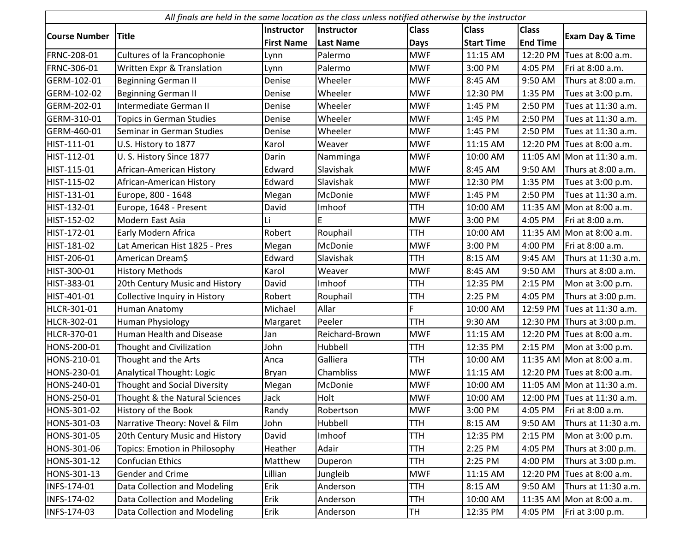| All finals are held in the same location as the class unless notified otherwise by the instructor |                                      |                   |                  |              |                   |                 |                             |  |
|---------------------------------------------------------------------------------------------------|--------------------------------------|-------------------|------------------|--------------|-------------------|-----------------|-----------------------------|--|
|                                                                                                   |                                      | <b>Instructor</b> | Instructor       | <b>Class</b> | <b>Class</b>      | <b>Class</b>    |                             |  |
| <b>Course Number</b>                                                                              | <b>Title</b>                         | <b>First Name</b> | <b>Last Name</b> | <b>Days</b>  | <b>Start Time</b> | <b>End Time</b> | <b>Exam Day &amp; Time</b>  |  |
| FRNC-208-01                                                                                       | Cultures of la Francophonie          | Lynn              | Palermo          | <b>MWF</b>   | 11:15 AM          | 12:20 PM        | Tues at 8:00 a.m.           |  |
| FRNC-306-01                                                                                       | Written Expr & Translation           | Lynn              | Palermo          | <b>MWF</b>   | 3:00 PM           | 4:05 PM         | Fri at 8:00 a.m.            |  |
| GERM-102-01                                                                                       | <b>Beginning German II</b>           | Denise            | Wheeler          | <b>MWF</b>   | 8:45 AM           | 9:50 AM         | Thurs at 8:00 a.m.          |  |
| GERM-102-02                                                                                       | <b>Beginning German II</b>           | Denise            | Wheeler          | <b>MWF</b>   | 12:30 PM          | 1:35 PM         | Tues at 3:00 p.m.           |  |
| GERM-202-01                                                                                       | Intermediate German II               | Denise            | Wheeler          | <b>MWF</b>   | 1:45 PM           | 2:50 PM         | Tues at 11:30 a.m.          |  |
| GERM-310-01                                                                                       | <b>Topics in German Studies</b>      | Denise            | Wheeler          | <b>MWF</b>   | 1:45 PM           | 2:50 PM         | Tues at 11:30 a.m.          |  |
| GERM-460-01                                                                                       | Seminar in German Studies            | Denise            | Wheeler          | <b>MWF</b>   | 1:45 PM           | 2:50 PM         | Tues at 11:30 a.m.          |  |
| HIST-111-01                                                                                       | U.S. History to 1877                 | Karol             | Weaver           | <b>MWF</b>   | 11:15 AM          | 12:20 PM        | Tues at 8:00 a.m.           |  |
| HIST-112-01                                                                                       | U. S. History Since 1877             | Darin             | Namminga         | <b>MWF</b>   | 10:00 AM          |                 | 11:05 AM Mon at 11:30 a.m.  |  |
| HIST-115-01                                                                                       | African-American History             | Edward            | Slavishak        | <b>MWF</b>   | 8:45 AM           | 9:50 AM         | Thurs at 8:00 a.m.          |  |
| HIST-115-02                                                                                       | African-American History             | Edward            | Slavishak        | <b>MWF</b>   | 12:30 PM          | 1:35 PM         | Tues at 3:00 p.m.           |  |
| HIST-131-01                                                                                       | Europe, 800 - 1648                   | Megan             | McDonie          | <b>MWF</b>   | 1:45 PM           | 2:50 PM         | Tues at 11:30 a.m.          |  |
| HIST-132-01                                                                                       | Europe, 1648 - Present               | David             | Imhoof           | <b>TTH</b>   | 10:00 AM          |                 | 11:35 AM Mon at 8:00 a.m.   |  |
| HIST-152-02                                                                                       | Modern East Asia                     | Li                |                  | <b>MWF</b>   | 3:00 PM           | 4:05 PM         | Fri at 8:00 a.m.            |  |
| HIST-172-01                                                                                       | Early Modern Africa                  | Robert            | Rouphail         | <b>TTH</b>   | 10:00 AM          | 11:35 AM        | Mon at 8:00 a.m.            |  |
| HIST-181-02                                                                                       | Lat American Hist 1825 - Pres        | Megan             | McDonie          | <b>MWF</b>   | 3:00 PM           | 4:00 PM         | Fri at 8:00 a.m.            |  |
| HIST-206-01                                                                                       | American Dream\$                     | Edward            | Slavishak        | <b>TTH</b>   | 8:15 AM           | 9:45 AM         | Thurs at 11:30 a.m.         |  |
| HIST-300-01                                                                                       | <b>History Methods</b>               | Karol             | Weaver           | <b>MWF</b>   | 8:45 AM           | 9:50 AM         | Thurs at 8:00 a.m.          |  |
| HIST-383-01                                                                                       | 20th Century Music and History       | David             | Imhoof           | <b>TTH</b>   | 12:35 PM          | 2:15 PM         | Mon at 3:00 p.m.            |  |
| HIST-401-01                                                                                       | Collective Inquiry in History        | Robert            | Rouphail         | <b>TTH</b>   | 2:25 PM           | 4:05 PM         | Thurs at 3:00 p.m.          |  |
| HLCR-301-01                                                                                       | Human Anatomy                        | Michael           | Allar            | Ë            | 10:00 AM          |                 | 12:59 PM Tues at 11:30 a.m. |  |
| HLCR-302-01                                                                                       | Human Physiology                     | Margaret          | Peeler           | <b>TTH</b>   | 9:30 AM           | 12:30 PM        | Thurs at 3:00 p.m.          |  |
| HLCR-370-01                                                                                       | Human Health and Disease             | Jan               | Reichard-Brown   | <b>MWF</b>   | 11:15 AM          |                 | 12:20 PM Tues at 8:00 a.m.  |  |
| HONS-200-01                                                                                       | Thought and Civilization             | John              | Hubbell          | <b>TTH</b>   | 12:35 PM          | 2:15 PM         | Mon at 3:00 p.m.            |  |
| HONS-210-01                                                                                       | Thought and the Arts                 | Anca              | Galliera         | <b>TTH</b>   | 10:00 AM          |                 | 11:35 AM Mon at 8:00 a.m.   |  |
| HONS-230-01                                                                                       | <b>Analytical Thought: Logic</b>     | Bryan             | Chambliss        | <b>MWF</b>   | 11:15 AM          |                 | 12:20 PM Tues at 8:00 a.m.  |  |
| HONS-240-01                                                                                       | Thought and Social Diversity         | Megan             | McDonie          | <b>MWF</b>   | 10:00 AM          |                 | 11:05 AM Mon at 11:30 a.m.  |  |
| HONS-250-01                                                                                       | Thought & the Natural Sciences       | Jack              | Holt             | <b>MWF</b>   | 10:00 AM          |                 | 12:00 PM Tues at 11:30 a.m. |  |
| HONS-301-02                                                                                       | History of the Book                  | Randy             | Robertson        | <b>MWF</b>   | 3:00 PM           | 4:05 PM         | Fri at 8:00 a.m.            |  |
| HONS-301-03                                                                                       | Narrative Theory: Novel & Film       | John              | Hubbell          | TTH          | 8:15 AM           | 9:50 AM         | Thurs at 11:30 a.m.         |  |
| HONS-301-05                                                                                       | 20th Century Music and History       | David             | Imhoof           | TTH          | 12:35 PM          | 2:15 PM         | Mon at 3:00 p.m.            |  |
| HONS-301-06                                                                                       | <b>Topics: Emotion in Philosophy</b> | Heather           | Adair            | <b>TTH</b>   | 2:25 PM           | 4:05 PM         | Thurs at 3:00 p.m.          |  |
| HONS-301-12                                                                                       | <b>Confucian Ethics</b>              | Matthew           | Duperon          | <b>TTH</b>   | 2:25 PM           | 4:00 PM         | Thurs at 3:00 p.m.          |  |
| HONS-301-13                                                                                       | <b>Gender and Crime</b>              | Lillian           | Jungleib         | <b>MWF</b>   | 11:15 AM          | 12:20 PM        | Tues at 8:00 a.m.           |  |
| INFS-174-01                                                                                       | Data Collection and Modeling         | Erik              | Anderson         | TTH          | 8:15 AM           | 9:50 AM         | Thurs at 11:30 a.m.         |  |
| INFS-174-02                                                                                       | Data Collection and Modeling         | Erik              | Anderson         | TTH          | 10:00 AM          |                 | 11:35 AM Mon at 8:00 a.m.   |  |
| INFS-174-03                                                                                       | Data Collection and Modeling         | Erik              | Anderson         | <b>TH</b>    | 12:35 PM          | 4:05 PM         | Fri at 3:00 p.m.            |  |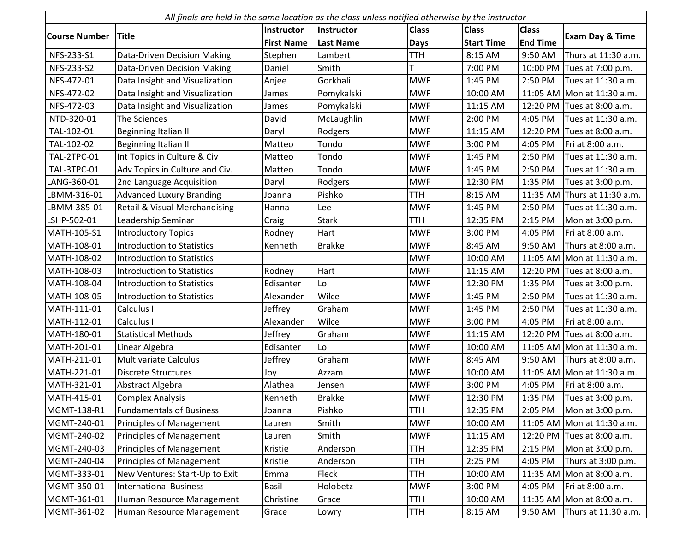|                      | All finals are held in the same location as the class unless notified otherwise by the instructor |                   |                   |              |                   |                 |                            |  |  |
|----------------------|---------------------------------------------------------------------------------------------------|-------------------|-------------------|--------------|-------------------|-----------------|----------------------------|--|--|
|                      |                                                                                                   | Instructor        | <b>Instructor</b> | <b>Class</b> | <b>Class</b>      | <b>Class</b>    |                            |  |  |
| <b>Course Number</b> | <b>Title</b>                                                                                      | <b>First Name</b> | <b>Last Name</b>  | <b>Days</b>  | <b>Start Time</b> | <b>End Time</b> | Exam Day & Time            |  |  |
| <b>INFS-233-S1</b>   | <b>Data-Driven Decision Making</b>                                                                | Stephen           | Lambert           | <b>TTH</b>   | 8:15 AM           | 9:50 AM         | Thurs at 11:30 a.m.        |  |  |
| <b>INFS-233-S2</b>   | <b>Data-Driven Decision Making</b>                                                                | Daniel            | Smith             |              | 7:00 PM           |                 | 10:00 PM Tues at 7:00 p.m. |  |  |
| INFS-472-01          | Data Insight and Visualization                                                                    | Anjee             | Gorkhali          | <b>MWF</b>   | 1:45 PM           | 2:50 PM         | Tues at 11:30 a.m.         |  |  |
| INFS-472-02          | Data Insight and Visualization                                                                    | James             | Pomykalski        | <b>MWF</b>   | 10:00 AM          |                 | 11:05 AM Mon at 11:30 a.m. |  |  |
| INFS-472-03          | Data Insight and Visualization                                                                    | James             | Pomykalski        | <b>MWF</b>   | 11:15 AM          |                 | 12:20 PM Tues at 8:00 a.m. |  |  |
| INTD-320-01          | The Sciences                                                                                      | David             | McLaughlin        | <b>MWF</b>   | 2:00 PM           | 4:05 PM         | Tues at 11:30 a.m.         |  |  |
| ITAL-102-01          | Beginning Italian II                                                                              | Daryl             | Rodgers           | <b>MWF</b>   | 11:15 AM          |                 | 12:20 PM Tues at 8:00 a.m. |  |  |
| ITAL-102-02          | Beginning Italian II                                                                              | Matteo            | Tondo             | <b>MWF</b>   | 3:00 PM           | 4:05 PM         | Fri at 8:00 a.m.           |  |  |
| ITAL-2TPC-01         | Int Topics in Culture & Civ                                                                       | Matteo            | Tondo             | <b>MWF</b>   | 1:45 PM           | 2:50 PM         | Tues at 11:30 a.m.         |  |  |
| ITAL-3TPC-01         | Adv Topics in Culture and Civ.                                                                    | Matteo            | Tondo             | <b>MWF</b>   | 1:45 PM           | 2:50 PM         | Tues at 11:30 a.m.         |  |  |
| LANG-360-01          | 2nd Language Acquisition                                                                          | Daryl             | Rodgers           | <b>MWF</b>   | 12:30 PM          | 1:35 PM         | Tues at 3:00 p.m.          |  |  |
| LBMM-316-01          | <b>Advanced Luxury Branding</b>                                                                   | Joanna            | Pishko            | <b>TTH</b>   | 8:15 AM           | 11:35 AM        | Thurs at 11:30 a.m.        |  |  |
| LBMM-385-01          | Retail & Visual Merchandising                                                                     | Hanna             | Lee               | <b>MWF</b>   | 1:45 PM           | 2:50 PM         | Tues at 11:30 a.m.         |  |  |
| LSHP-502-01          | Leadership Seminar                                                                                | Craig             | <b>Stark</b>      | <b>TTH</b>   | 12:35 PM          | 2:15 PM         | Mon at 3:00 p.m.           |  |  |
| MATH-105-S1          | <b>Introductory Topics</b>                                                                        | Rodney            | Hart              | <b>MWF</b>   | 3:00 PM           | 4:05 PM         | Fri at 8:00 a.m.           |  |  |
| MATH-108-01          | <b>Introduction to Statistics</b>                                                                 | Kenneth           | <b>Brakke</b>     | <b>MWF</b>   | 8:45 AM           | 9:50 AM         | Thurs at 8:00 a.m.         |  |  |
| MATH-108-02          | <b>Introduction to Statistics</b>                                                                 |                   |                   | <b>MWF</b>   | 10:00 AM          |                 | 11:05 AM Mon at 11:30 a.m. |  |  |
| MATH-108-03          | <b>Introduction to Statistics</b>                                                                 | Rodney            | Hart              | <b>MWF</b>   | 11:15 AM          |                 | 12:20 PM Tues at 8:00 a.m. |  |  |
| MATH-108-04          | <b>Introduction to Statistics</b>                                                                 | Edisanter         | Lo                | <b>MWF</b>   | 12:30 PM          | 1:35 PM         | Tues at 3:00 p.m.          |  |  |
| MATH-108-05          | <b>Introduction to Statistics</b>                                                                 | Alexander         | Wilce             | <b>MWF</b>   | 1:45 PM           | 2:50 PM         | Tues at 11:30 a.m.         |  |  |
| MATH-111-01          | Calculus I                                                                                        | Jeffrey           | Graham            | <b>MWF</b>   | 1:45 PM           | 2:50 PM         | Tues at 11:30 a.m.         |  |  |
| MATH-112-01          | Calculus II                                                                                       | Alexander         | Wilce             | <b>MWF</b>   | 3:00 PM           | 4:05 PM         | Fri at 8:00 a.m.           |  |  |
| MATH-180-01          | <b>Statistical Methods</b>                                                                        | Jeffrey           | Graham            | <b>MWF</b>   | 11:15 AM          |                 | 12:20 PM Tues at 8:00 a.m. |  |  |
| MATH-201-01          | Linear Algebra                                                                                    | Edisanter         | Lo                | <b>MWF</b>   | 10:00 AM          |                 | 11:05 AM Mon at 11:30 a.m. |  |  |
| MATH-211-01          | Multivariate Calculus                                                                             | Jeffrey           | Graham            | <b>MWF</b>   | 8:45 AM           | 9:50 AM         | Thurs at 8:00 a.m.         |  |  |
| MATH-221-01          | <b>Discrete Structures</b>                                                                        | Joy               | Azzam             | <b>MWF</b>   | 10:00 AM          |                 | 11:05 AM Mon at 11:30 a.m. |  |  |
| MATH-321-01          | Abstract Algebra                                                                                  | Alathea           | Jensen            | <b>MWF</b>   | 3:00 PM           | 4:05 PM         | Fri at 8:00 a.m.           |  |  |
| MATH-415-01          | <b>Complex Analysis</b>                                                                           | Kenneth           | <b>Brakke</b>     | <b>MWF</b>   | 12:30 PM          | 1:35 PM         | Tues at 3:00 p.m.          |  |  |
| MGMT-138-R1          | <b>Fundamentals of Business</b>                                                                   | Joanna            | Pishko            | <b>TTH</b>   | 12:35 PM          | 2:05 PM         | Mon at 3:00 p.m.           |  |  |
| MGMT-240-01          | <b>Principles of Management</b>                                                                   | Lauren            | Smith             | <b>MWF</b>   | 10:00 AM          |                 | 11:05 AM Mon at 11:30 a.m. |  |  |
| MGMT-240-02          | <b>Principles of Management</b>                                                                   | Lauren            | Smith             | <b>MWF</b>   | 11:15 AM          |                 | 12:20 PM Tues at 8:00 a.m. |  |  |
| MGMT-240-03          | <b>Principles of Management</b>                                                                   | Kristie           | Anderson          | <b>TTH</b>   | 12:35 PM          | 2:15 PM         | Mon at 3:00 p.m.           |  |  |
| MGMT-240-04          | Principles of Management                                                                          | Kristie           | Anderson          | <b>TTH</b>   | 2:25 PM           | 4:05 PM         | Thurs at 3:00 p.m.         |  |  |
| MGMT-333-01          | New Ventures: Start-Up to Exit                                                                    | Emma              | Fleck             | <b>TTH</b>   | 10:00 AM          |                 | 11:35 AM Mon at 8:00 a.m.  |  |  |
| MGMT-350-01          | <b>International Business</b>                                                                     | Basil             | Holobetz          | <b>MWF</b>   | 3:00 PM           | 4:05 PM         | Fri at 8:00 a.m.           |  |  |
| MGMT-361-01          | Human Resource Management                                                                         | Christine         | Grace             | TTH          | 10:00 AM          |                 | 11:35 AM Mon at 8:00 a.m.  |  |  |
| MGMT-361-02          | Human Resource Management                                                                         | Grace             | Lowry             | TTH          | 8:15 AM           | 9:50 AM         | Thurs at 11:30 a.m.        |  |  |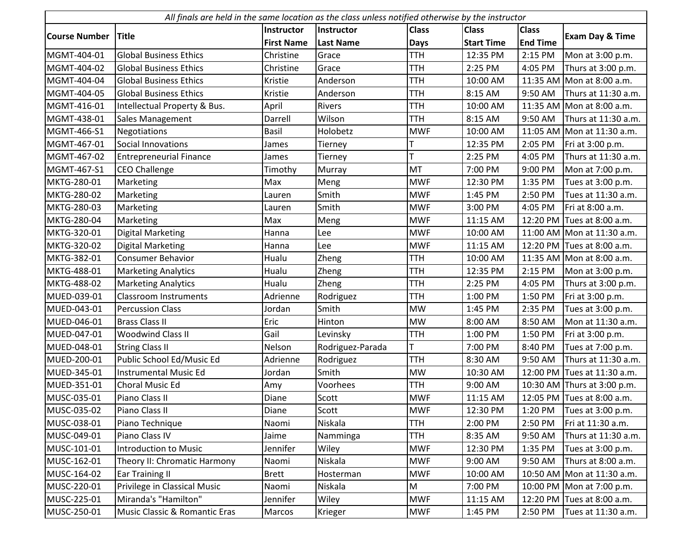| All finals are held in the same location as the class unless notified otherwise by the instructor |                                |                   |                   |              |                   |                 |                             |  |
|---------------------------------------------------------------------------------------------------|--------------------------------|-------------------|-------------------|--------------|-------------------|-----------------|-----------------------------|--|
|                                                                                                   |                                | <b>Instructor</b> | <b>Instructor</b> | <b>Class</b> | <b>Class</b>      | <b>Class</b>    |                             |  |
| <b>Course Number</b>                                                                              | <b>Title</b>                   | <b>First Name</b> | <b>Last Name</b>  | <b>Days</b>  | <b>Start Time</b> | <b>End Time</b> | <b>Exam Day &amp; Time</b>  |  |
| MGMT-404-01                                                                                       | <b>Global Business Ethics</b>  | Christine         | Grace             | <b>TTH</b>   | 12:35 PM          | 2:15 PM         | Mon at 3:00 p.m.            |  |
| MGMT-404-02                                                                                       | <b>Global Business Ethics</b>  | Christine         | Grace             | <b>TTH</b>   | 2:25 PM           | 4:05 PM         | Thurs at 3:00 p.m.          |  |
| MGMT-404-04                                                                                       | <b>Global Business Ethics</b>  | Kristie           | Anderson          | <b>TTH</b>   | 10:00 AM          |                 | 11:35 AM Mon at 8:00 a.m.   |  |
| MGMT-404-05                                                                                       | <b>Global Business Ethics</b>  | Kristie           | Anderson          | <b>TTH</b>   | 8:15 AM           | 9:50 AM         | Thurs at 11:30 a.m.         |  |
| MGMT-416-01                                                                                       | Intellectual Property & Bus.   | April             | <b>Rivers</b>     | <b>TTH</b>   | 10:00 AM          |                 | 11:35 AM Mon at 8:00 a.m.   |  |
| MGMT-438-01                                                                                       | Sales Management               | Darrell           | Wilson            | <b>TTH</b>   | 8:15 AM           | 9:50 AM         | Thurs at 11:30 a.m.         |  |
| MGMT-466-S1                                                                                       | Negotiations                   | <b>Basil</b>      | Holobetz          | <b>MWF</b>   | 10:00 AM          |                 | 11:05 AM Mon at 11:30 a.m.  |  |
| MGMT-467-01                                                                                       | Social Innovations             | James             | Tierney           |              | 12:35 PM          | 2:05 PM         | Fri at 3:00 p.m.            |  |
| MGMT-467-02                                                                                       | <b>Entrepreneurial Finance</b> | James             | Tierney           |              | 2:25 PM           | 4:05 PM         | Thurs at 11:30 a.m.         |  |
| MGMT-467-S1                                                                                       | <b>CEO Challenge</b>           | Timothy           | Murray            | MT           | 7:00 PM           | 9:00 PM         | Mon at 7:00 p.m.            |  |
| MKTG-280-01                                                                                       | Marketing                      | Max               | Meng              | <b>MWF</b>   | 12:30 PM          | 1:35 PM         | Tues at 3:00 p.m.           |  |
| MKTG-280-02                                                                                       | Marketing                      | Lauren            | Smith             | <b>MWF</b>   | 1:45 PM           | 2:50 PM         | Tues at 11:30 a.m.          |  |
| MKTG-280-03                                                                                       | Marketing                      | Lauren            | Smith             | <b>MWF</b>   | 3:00 PM           | 4:05 PM         | Fri at 8:00 a.m.            |  |
| MKTG-280-04                                                                                       | Marketing                      | Max               | Meng              | <b>MWF</b>   | 11:15 AM          |                 | 12:20 PM Tues at 8:00 a.m.  |  |
| MKTG-320-01                                                                                       | <b>Digital Marketing</b>       | Hanna             | Lee               | <b>MWF</b>   | 10:00 AM          |                 | 11:00 AM Mon at 11:30 a.m.  |  |
| MKTG-320-02                                                                                       | <b>Digital Marketing</b>       | Hanna             | Lee               | <b>MWF</b>   | 11:15 AM          |                 | 12:20 PM Tues at 8:00 a.m.  |  |
| MKTG-382-01                                                                                       | <b>Consumer Behavior</b>       | Hualu             | Zheng             | <b>TTH</b>   | 10:00 AM          |                 | 11:35 AM Mon at 8:00 a.m.   |  |
| MKTG-488-01                                                                                       | <b>Marketing Analytics</b>     | Hualu             | Zheng             | <b>TTH</b>   | 12:35 PM          | 2:15 PM         | Mon at 3:00 p.m.            |  |
| MKTG-488-02                                                                                       | <b>Marketing Analytics</b>     | Hualu             | Zheng             | <b>TTH</b>   | 2:25 PM           | 4:05 PM         | Thurs at 3:00 p.m.          |  |
| MUED-039-01                                                                                       | <b>Classroom Instruments</b>   | Adrienne          | Rodriguez         | <b>TTH</b>   | 1:00 PM           | 1:50 PM         | Fri at 3:00 p.m.            |  |
| MUED-043-01                                                                                       | <b>Percussion Class</b>        | Jordan            | Smith             | <b>MW</b>    | 1:45 PM           | 2:35 PM         | Tues at 3:00 p.m.           |  |
| MUED-046-01                                                                                       | <b>Brass Class II</b>          | Eric              | Hinton            | <b>MW</b>    | 8:00 AM           | 8:50 AM         | Mon at 11:30 a.m.           |  |
| MUED-047-01                                                                                       | <b>Woodwind Class II</b>       | Gail              | Levinsky          | <b>TTH</b>   | 1:00 PM           | 1:50 PM         | Fri at 3:00 p.m.            |  |
| MUED-048-01                                                                                       | <b>String Class II</b>         | Nelson            | Rodriguez-Parada  |              | 7:00 PM           | 8:40 PM         | Tues at 7:00 p.m.           |  |
| MUED-200-01                                                                                       | Public School Ed/Music Ed      | Adrienne          | Rodriguez         | <b>TTH</b>   | 8:30 AM           | 9:50 AM         | Thurs at 11:30 a.m.         |  |
| MUED-345-01                                                                                       | <b>Instrumental Music Ed</b>   | Jordan            | Smith             | <b>MW</b>    | 10:30 AM          |                 | 12:00 PM Tues at 11:30 a.m. |  |
| MUED-351-01                                                                                       | Choral Music Ed                | Amy               | Voorhees          | <b>TTH</b>   | 9:00 AM           |                 | 10:30 AM Thurs at 3:00 p.m. |  |
| MUSC-035-01                                                                                       | Piano Class II                 | Diane             | Scott             | <b>MWF</b>   | 11:15 AM          |                 | 12:05 PM Tues at 8:00 a.m.  |  |
| MUSC-035-02                                                                                       | Piano Class II                 | Diane             | Scott             | <b>MWF</b>   | 12:30 PM          | 1:20 PM         | Tues at 3:00 p.m.           |  |
| MUSC-038-01                                                                                       | Piano Technique                | Naomi             | Niskala           | <b>TTH</b>   | 2:00 PM           | 2:50 PM         | Fri at 11:30 a.m.           |  |
| MUSC-049-01                                                                                       | Piano Class IV                 | Jaime             | Namminga          | <b>TTH</b>   | 8:35 AM           | 9:50 AM         | Thurs at 11:30 a.m.         |  |
| MUSC-101-01                                                                                       | <b>Introduction to Music</b>   | Jennifer          | Wiley             | <b>MWF</b>   | 12:30 PM          | 1:35 PM         | Tues at 3:00 p.m.           |  |
| MUSC-162-01                                                                                       | Theory II: Chromatic Harmony   | Naomi             | Niskala           | <b>MWF</b>   | 9:00 AM           | 9:50 AM         | Thurs at 8:00 a.m.          |  |
| MUSC-164-02                                                                                       | <b>Ear Training II</b>         | <b>Brett</b>      | Hosterman         | <b>MWF</b>   | 10:00 AM          |                 | 10:50 AM Mon at 11:30 a.m.  |  |
| MUSC-220-01                                                                                       | Privilege in Classical Music   | Naomi             | Niskala           | M            | 7:00 PM           |                 | 10:00 PM   Mon at 7:00 p.m. |  |
| MUSC-225-01                                                                                       | Miranda's "Hamilton"           | Jennifer          | Wiley             | <b>MWF</b>   | 11:15 AM          |                 | 12:20 PM Tues at 8:00 a.m.  |  |
| MUSC-250-01                                                                                       | Music Classic & Romantic Eras  | Marcos            | Krieger           | <b>MWF</b>   | 1:45 PM           | 2:50 PM         | Tues at 11:30 a.m.          |  |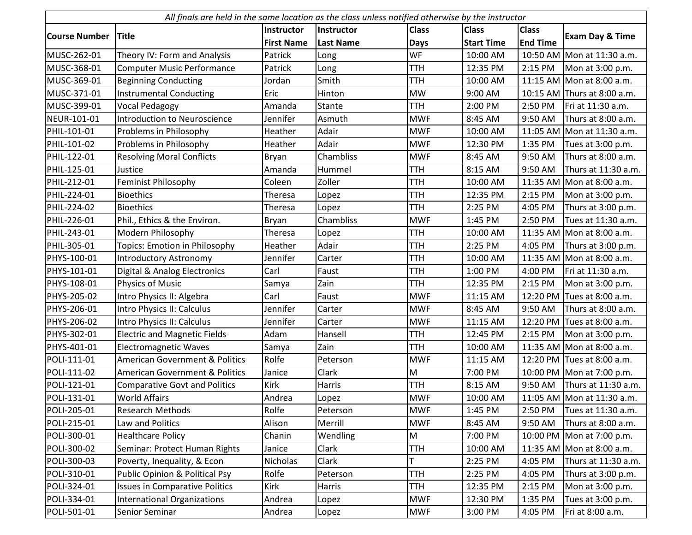| All finals are held in the same location as the class unless notified otherwise by the instructor |                                           |                   |                  |              |                   |                 |                             |  |
|---------------------------------------------------------------------------------------------------|-------------------------------------------|-------------------|------------------|--------------|-------------------|-----------------|-----------------------------|--|
|                                                                                                   |                                           | <b>Instructor</b> | Instructor       | <b>Class</b> | <b>Class</b>      | <b>Class</b>    |                             |  |
| <b>Course Number</b>                                                                              | <b>Title</b>                              | <b>First Name</b> | <b>Last Name</b> | <b>Days</b>  | <b>Start Time</b> | <b>End Time</b> | <b>Exam Day &amp; Time</b>  |  |
| MUSC-262-01                                                                                       | Theory IV: Form and Analysis              | Patrick           | Long             | WF           | 10:00 AM          |                 | 10:50 AM Mon at 11:30 a.m.  |  |
| MUSC-368-01                                                                                       | <b>Computer Music Performance</b>         | Patrick           | Long             | <b>TTH</b>   | 12:35 PM          | 2:15 PM         | Mon at 3:00 p.m.            |  |
| MUSC-369-01                                                                                       | <b>Beginning Conducting</b>               | Jordan            | Smith            | <b>TTH</b>   | 10:00 AM          |                 | 11:15 AM Mon at 8:00 a.m.   |  |
| MUSC-371-01                                                                                       | <b>Instrumental Conducting</b>            | Eric              | Hinton           | <b>MW</b>    | 9:00 AM           |                 | 10:15 AM Thurs at 8:00 a.m. |  |
| MUSC-399-01                                                                                       | Vocal Pedagogy                            | Amanda            | Stante           | <b>TTH</b>   | 2:00 PM           | 2:50 PM         | Fri at 11:30 a.m.           |  |
| NEUR-101-01                                                                                       | <b>Introduction to Neuroscience</b>       | Jennifer          | Asmuth           | <b>MWF</b>   | 8:45 AM           | 9:50 AM         | Thurs at 8:00 a.m.          |  |
| PHIL-101-01                                                                                       | Problems in Philosophy                    | Heather           | Adair            | <b>MWF</b>   | 10:00 AM          |                 | 11:05 AM Mon at 11:30 a.m.  |  |
| PHIL-101-02                                                                                       | Problems in Philosophy                    | Heather           | Adair            | <b>MWF</b>   | 12:30 PM          | 1:35 PM         | Tues at 3:00 p.m.           |  |
| PHIL-122-01                                                                                       | <b>Resolving Moral Conflicts</b>          | Bryan             | Chambliss        | <b>MWF</b>   | 8:45 AM           | 9:50 AM         | Thurs at 8:00 a.m.          |  |
| PHIL-125-01                                                                                       | Justice                                   | Amanda            | Hummel           | <b>TTH</b>   | 8:15 AM           | 9:50 AM         | Thurs at 11:30 a.m.         |  |
| PHIL-212-01                                                                                       | <b>Feminist Philosophy</b>                | Coleen            | Zoller           | <b>TTH</b>   | 10:00 AM          |                 | 11:35 AM Mon at 8:00 a.m.   |  |
| PHIL-224-01                                                                                       | <b>Bioethics</b>                          | Theresa           | Lopez            | <b>TTH</b>   | 12:35 PM          | 2:15 PM         | Mon at 3:00 p.m.            |  |
| PHIL-224-02                                                                                       | <b>Bioethics</b>                          | Theresa           | Lopez            | <b>TTH</b>   | 2:25 PM           | 4:05 PM         | Thurs at 3:00 p.m.          |  |
| PHIL-226-01                                                                                       | Phil., Ethics & the Environ.              | Bryan             | Chambliss        | <b>MWF</b>   | 1:45 PM           | 2:50 PM         | Tues at 11:30 a.m.          |  |
| PHIL-243-01                                                                                       | Modern Philosophy                         | Theresa           | Lopez            | <b>TTH</b>   | 10:00 AM          |                 | 11:35 AM Mon at 8:00 a.m.   |  |
| PHIL-305-01                                                                                       | <b>Topics: Emotion in Philosophy</b>      | Heather           | Adair            | <b>TTH</b>   | 2:25 PM           | 4:05 PM         | Thurs at 3:00 p.m.          |  |
| PHYS-100-01                                                                                       | <b>Introductory Astronomy</b>             | Jennifer          | Carter           | <b>TTH</b>   | 10:00 AM          |                 | 11:35 AM Mon at 8:00 a.m.   |  |
| PHYS-101-01                                                                                       | Digital & Analog Electronics              | Carl              | Faust            | <b>TTH</b>   | 1:00 PM           | 4:00 PM         | Fri at 11:30 a.m.           |  |
| PHYS-108-01                                                                                       | Physics of Music                          | Samya             | Zain             | <b>TTH</b>   | 12:35 PM          | 2:15 PM         | Mon at 3:00 p.m.            |  |
| PHYS-205-02                                                                                       | Intro Physics II: Algebra                 | Carl              | Faust            | <b>MWF</b>   | 11:15 AM          | 12:20 PM        | Tues at 8:00 a.m.           |  |
| PHYS-206-01                                                                                       | Intro Physics II: Calculus                | Jennifer          | Carter           | <b>MWF</b>   | 8:45 AM           | 9:50 AM         | Thurs at 8:00 a.m.          |  |
| PHYS-206-02                                                                                       | Intro Physics II: Calculus                | Jennifer          | Carter           | <b>MWF</b>   | 11:15 AM          |                 | 12:20 PM Tues at 8:00 a.m.  |  |
| PHYS-302-01                                                                                       | <b>Electric and Magnetic Fields</b>       | Adam              | Hansell          | <b>TTH</b>   | 12:45 PM          | 2:15 PM         | Mon at 3:00 p.m.            |  |
| PHYS-401-01                                                                                       | <b>Electromagnetic Waves</b>              | Samya             | Zain             | <b>TTH</b>   | 10:00 AM          |                 | 11:35 AM Mon at 8:00 a.m.   |  |
| POLI-111-01                                                                                       | <b>American Government &amp; Politics</b> | Rolfe             | Peterson         | <b>MWF</b>   | 11:15 AM          |                 | 12:20 PM Tues at 8:00 a.m.  |  |
| POLI-111-02                                                                                       | <b>American Government &amp; Politics</b> | Janice            | Clark            | M            | 7:00 PM           |                 | 10:00 PM Mon at 7:00 p.m.   |  |
| POLI-121-01                                                                                       | <b>Comparative Govt and Politics</b>      | Kirk              | Harris           | <b>TTH</b>   | 8:15 AM           | 9:50 AM         | Thurs at 11:30 a.m.         |  |
| POLI-131-01                                                                                       | <b>World Affairs</b>                      | Andrea            | Lopez            | <b>MWF</b>   | 10:00 AM          |                 | 11:05 AM Mon at 11:30 a.m.  |  |
| POLI-205-01                                                                                       | <b>Research Methods</b>                   | Rolfe             | Peterson         | <b>MWF</b>   | 1:45 PM           | 2:50 PM         | Tues at 11:30 a.m.          |  |
| POLI-215-01                                                                                       | Law and Politics                          | Alison            | Merrill          | <b>MWF</b>   | 8:45 AM           | 9:50 AM         | Thurs at 8:00 a.m.          |  |
| POLI-300-01                                                                                       | <b>Healthcare Policy</b>                  | Chanin            | Wendling         | M            | 7:00 PM           |                 | 10:00 PM Mon at 7:00 p.m.   |  |
| POLI-300-02                                                                                       | Seminar: Protect Human Rights             | Janice            | Clark            | <b>TTH</b>   | 10:00 AM          |                 | 11:35 AM Mon at 8:00 a.m.   |  |
| POLI-300-03                                                                                       | Poverty, Inequality, & Econ               | Nicholas          | Clark            | T            | 2:25 PM           | 4:05 PM         | Thurs at 11:30 a.m.         |  |
| POLI-310-01                                                                                       | <b>Public Opinion &amp; Political Psy</b> | Rolfe             | Peterson         | <b>TTH</b>   | 2:25 PM           | 4:05 PM         | Thurs at 3:00 p.m.          |  |
| POLI-324-01                                                                                       | <b>Issues in Comparative Politics</b>     | Kirk              | Harris           | <b>TTH</b>   | 12:35 PM          | 2:15 PM         | Mon at 3:00 p.m.            |  |
| POLI-334-01                                                                                       | <b>International Organizations</b>        | Andrea            | Lopez            | <b>MWF</b>   | 12:30 PM          | 1:35 PM         | Tues at 3:00 p.m.           |  |
| POLI-501-01                                                                                       | Senior Seminar                            | Andrea            | Lopez            | <b>MWF</b>   | 3:00 PM           | 4:05 PM         | Fri at 8:00 a.m.            |  |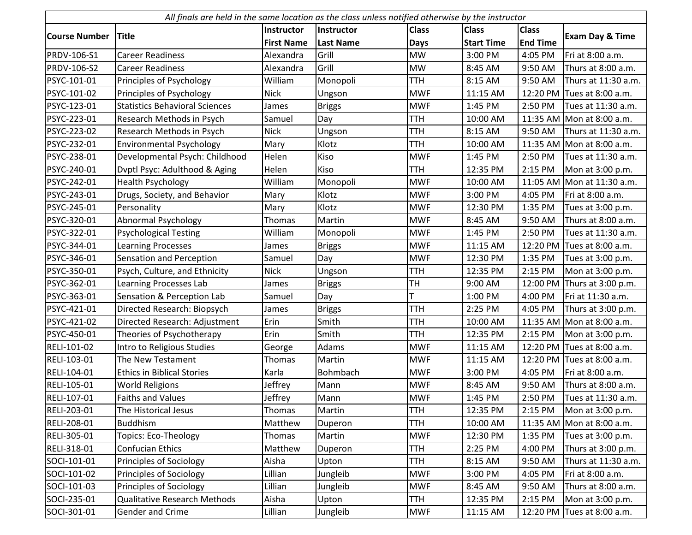| All finals are held in the same location as the class unless notified otherwise by the instructor |                                       |                   |                  |              |                   |                 |                            |  |
|---------------------------------------------------------------------------------------------------|---------------------------------------|-------------------|------------------|--------------|-------------------|-----------------|----------------------------|--|
|                                                                                                   |                                       | Instructor        | Instructor       | <b>Class</b> | <b>Class</b>      | <b>Class</b>    |                            |  |
| <b>Course Number</b>                                                                              | <b>Title</b>                          | <b>First Name</b> | <b>Last Name</b> | <b>Days</b>  | <b>Start Time</b> | <b>End Time</b> | <b>Exam Day &amp; Time</b> |  |
| <b>PRDV-106-S1</b>                                                                                | <b>Career Readiness</b>               | Alexandra         | Grill            | <b>MW</b>    | 3:00 PM           | 4:05 PM         | Fri at 8:00 a.m.           |  |
| <b>PRDV-106-S2</b>                                                                                | <b>Career Readiness</b>               | Alexandra         | Grill            | <b>MW</b>    | 8:45 AM           | 9:50 AM         | Thurs at 8:00 a.m.         |  |
| PSYC-101-01                                                                                       | Principles of Psychology              | William           | Monopoli         | <b>TTH</b>   | 8:15 AM           | 9:50 AM         | Thurs at 11:30 a.m.        |  |
| PSYC-101-02                                                                                       | Principles of Psychology              | <b>Nick</b>       | Ungson           | <b>MWF</b>   | 11:15 AM          |                 | 12:20 PM Tues at 8:00 a.m. |  |
| PSYC-123-01                                                                                       | <b>Statistics Behavioral Sciences</b> | James             | <b>Briggs</b>    | <b>MWF</b>   | 1:45 PM           | 2:50 PM         | Tues at 11:30 a.m.         |  |
| PSYC-223-01                                                                                       | Research Methods in Psych             | Samuel            | Day              | <b>TTH</b>   | 10:00 AM          |                 | 11:35 AM Mon at 8:00 a.m.  |  |
| PSYC-223-02                                                                                       | Research Methods in Psych             | <b>Nick</b>       | Ungson           | <b>TTH</b>   | 8:15 AM           | 9:50 AM         | Thurs at 11:30 a.m.        |  |
| PSYC-232-01                                                                                       | <b>Environmental Psychology</b>       | Mary              | Klotz            | <b>TTH</b>   | 10:00 AM          |                 | 11:35 AM Mon at 8:00 a.m.  |  |
| PSYC-238-01                                                                                       | Developmental Psych: Childhood        | Helen             | Kiso             | <b>MWF</b>   | 1:45 PM           | 2:50 PM         | Tues at 11:30 a.m.         |  |
| PSYC-240-01                                                                                       | Dvptl Psyc: Adulthood & Aging         | Helen             | Kiso             | <b>TTH</b>   | 12:35 PM          | 2:15 PM         | Mon at 3:00 p.m.           |  |
| PSYC-242-01                                                                                       | <b>Health Psychology</b>              | William           | Monopoli         | <b>MWF</b>   | 10:00 AM          |                 | 11:05 AM Mon at 11:30 a.m. |  |
| PSYC-243-01                                                                                       | Drugs, Society, and Behavior          | Mary              | Klotz            | <b>MWF</b>   | 3:00 PM           | 4:05 PM         | Fri at 8:00 a.m.           |  |
| PSYC-245-01                                                                                       | Personality                           | Mary              | Klotz            | <b>MWF</b>   | 12:30 PM          | 1:35 PM         | Tues at 3:00 p.m.          |  |
| PSYC-320-01                                                                                       | Abnormal Psychology                   | Thomas            | Martin           | <b>MWF</b>   | 8:45 AM           | 9:50 AM         | Thurs at 8:00 a.m.         |  |
| PSYC-322-01                                                                                       | <b>Psychological Testing</b>          | William           | Monopoli         | <b>MWF</b>   | 1:45 PM           | 2:50 PM         | Tues at 11:30 a.m.         |  |
| PSYC-344-01                                                                                       | <b>Learning Processes</b>             | James             | <b>Briggs</b>    | <b>MWF</b>   | 11:15 AM          |                 | 12:20 PM Tues at 8:00 a.m. |  |
| PSYC-346-01                                                                                       | Sensation and Perception              | Samuel            | Day              | <b>MWF</b>   | 12:30 PM          | 1:35 PM         | Tues at 3:00 p.m.          |  |
| PSYC-350-01                                                                                       | Psych, Culture, and Ethnicity         | <b>Nick</b>       | Ungson           | <b>TTH</b>   | 12:35 PM          | 2:15 PM         | Mon at 3:00 p.m.           |  |
| PSYC-362-01                                                                                       | Learning Processes Lab                | James             | <b>Briggs</b>    | TH           | 9:00 AM           | 12:00 PM        | Thurs at 3:00 p.m.         |  |
| PSYC-363-01                                                                                       | Sensation & Perception Lab            | Samuel            | Day              | T            | 1:00 PM           | 4:00 PM         | Fri at 11:30 a.m.          |  |
| PSYC-421-01                                                                                       | Directed Research: Biopsych           | James             | <b>Briggs</b>    | <b>TTH</b>   | 2:25 PM           | 4:05 PM         | Thurs at 3:00 p.m.         |  |
| PSYC-421-02                                                                                       | Directed Research: Adjustment         | Erin              | Smith            | <b>TTH</b>   | 10:00 AM          |                 | 11:35 AM Mon at 8:00 a.m.  |  |
| PSYC-450-01                                                                                       | Theories of Psychotherapy             | Erin              | Smith            | <b>TTH</b>   | 12:35 PM          | 2:15 PM         | Mon at 3:00 p.m.           |  |
| RELI-101-02                                                                                       | Intro to Religious Studies            | George            | Adams            | <b>MWF</b>   | 11:15 AM          |                 | 12:20 PM Tues at 8:00 a.m. |  |
| RELI-103-01                                                                                       | The New Testament                     | Thomas            | Martin           | <b>MWF</b>   | 11:15 AM          |                 | 12:20 PM Tues at 8:00 a.m. |  |
| RELI-104-01                                                                                       | <b>Ethics in Biblical Stories</b>     | Karla             | Bohmbach         | <b>MWF</b>   | 3:00 PM           | 4:05 PM         | Fri at 8:00 a.m.           |  |
| RELI-105-01                                                                                       | <b>World Religions</b>                | Jeffrey           | Mann             | <b>MWF</b>   | 8:45 AM           | 9:50 AM         | Thurs at 8:00 a.m.         |  |
| RELI-107-01                                                                                       | <b>Faiths and Values</b>              | Jeffrey           | Mann             | <b>MWF</b>   | 1:45 PM           | 2:50 PM         | Tues at 11:30 a.m.         |  |
| RELI-203-01                                                                                       | The Historical Jesus                  | Thomas            | Martin           | <b>TTH</b>   | 12:35 PM          | 2:15 PM         | Mon at 3:00 p.m.           |  |
| RELI-208-01                                                                                       | <b>Buddhism</b>                       | Matthew           | Duperon          | <b>TTH</b>   | 10:00 AM          |                 | 11:35 AM Mon at 8:00 a.m.  |  |
| RELI-305-01                                                                                       | Topics: Eco-Theology                  | Thomas            | Martin           | <b>MWF</b>   | 12:30 PM          | 1:35 PM         | Tues at 3:00 p.m.          |  |
| RELI-318-01                                                                                       | <b>Confucian Ethics</b>               | Matthew           | Duperon          | <b>TTH</b>   | 2:25 PM           | 4:00 PM         | Thurs at 3:00 p.m.         |  |
| SOCI-101-01                                                                                       | <b>Principles of Sociology</b>        | Aisha             | Upton            | <b>TTH</b>   | 8:15 AM           | 9:50 AM         | Thurs at 11:30 a.m.        |  |
| SOCI-101-02                                                                                       | <b>Principles of Sociology</b>        | Lillian           | Jungleib         | <b>MWF</b>   | 3:00 PM           | 4:05 PM         | Fri at 8:00 a.m.           |  |
| SOCI-101-03                                                                                       | <b>Principles of Sociology</b>        | Lillian           | Jungleib         | <b>MWF</b>   | 8:45 AM           | 9:50 AM         | Thurs at 8:00 a.m.         |  |
| SOCI-235-01                                                                                       | <b>Qualitative Research Methods</b>   | Aisha             | Upton            | <b>TTH</b>   | 12:35 PM          | 2:15 PM         | Mon at 3:00 p.m.           |  |
| SOCI-301-01                                                                                       | Gender and Crime                      | Lillian           | Jungleib         | <b>MWF</b>   | 11:15 AM          | 12:20 PM        | Tues at 8:00 a.m.          |  |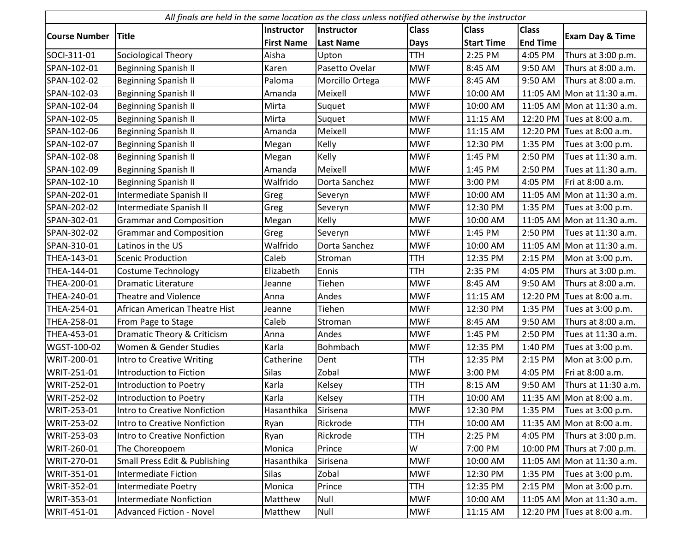|                      | All finals are held in the same location as the class unless notified otherwise by the instructor |                   |                  |              |                   |                 |                             |  |  |
|----------------------|---------------------------------------------------------------------------------------------------|-------------------|------------------|--------------|-------------------|-----------------|-----------------------------|--|--|
|                      |                                                                                                   | Instructor        | Instructor       | <b>Class</b> | <b>Class</b>      | <b>Class</b>    |                             |  |  |
| <b>Course Number</b> | <b>Title</b>                                                                                      | <b>First Name</b> | <b>Last Name</b> | <b>Days</b>  | <b>Start Time</b> | <b>End Time</b> | <b>Exam Day &amp; Time</b>  |  |  |
| SOCI-311-01          | Sociological Theory                                                                               | Aisha             | Upton            | <b>TTH</b>   | 2:25 PM           | 4:05 PM         | Thurs at 3:00 p.m.          |  |  |
| SPAN-102-01          | <b>Beginning Spanish II</b>                                                                       | Karen             | Pasetto Ovelar   | <b>MWF</b>   | 8:45 AM           | 9:50 AM         | Thurs at 8:00 a.m.          |  |  |
| SPAN-102-02          | <b>Beginning Spanish II</b>                                                                       | Paloma            | Morcillo Ortega  | <b>MWF</b>   | 8:45 AM           | 9:50 AM         | Thurs at 8:00 a.m.          |  |  |
| SPAN-102-03          | <b>Beginning Spanish II</b>                                                                       | Amanda            | Meixell          | <b>MWF</b>   | 10:00 AM          |                 | 11:05 AM Mon at 11:30 a.m.  |  |  |
| SPAN-102-04          | <b>Beginning Spanish II</b>                                                                       | Mirta             | Suquet           | <b>MWF</b>   | 10:00 AM          |                 | 11:05 AM Mon at 11:30 a.m.  |  |  |
| SPAN-102-05          | <b>Beginning Spanish II</b>                                                                       | Mirta             | Suquet           | <b>MWF</b>   | 11:15 AM          |                 | 12:20 PM Tues at 8:00 a.m.  |  |  |
| SPAN-102-06          | <b>Beginning Spanish II</b>                                                                       | Amanda            | Meixell          | <b>MWF</b>   | 11:15 AM          |                 | 12:20 PM Tues at 8:00 a.m.  |  |  |
| SPAN-102-07          | <b>Beginning Spanish II</b>                                                                       | Megan             | Kelly            | <b>MWF</b>   | 12:30 PM          | 1:35 PM         | Tues at 3:00 p.m.           |  |  |
| SPAN-102-08          | <b>Beginning Spanish II</b>                                                                       | Megan             | Kelly            | <b>MWF</b>   | 1:45 PM           | 2:50 PM         | Tues at 11:30 a.m.          |  |  |
| SPAN-102-09          | <b>Beginning Spanish II</b>                                                                       | Amanda            | Meixell          | <b>MWF</b>   | 1:45 PM           | 2:50 PM         | Tues at 11:30 a.m.          |  |  |
| SPAN-102-10          | <b>Beginning Spanish II</b>                                                                       | Walfrido          | Dorta Sanchez    | <b>MWF</b>   | 3:00 PM           | 4:05 PM         | Fri at 8:00 a.m.            |  |  |
| SPAN-202-01          | Intermediate Spanish II                                                                           | Greg              | Severyn          | <b>MWF</b>   | 10:00 AM          |                 | 11:05 AM Mon at 11:30 a.m.  |  |  |
| SPAN-202-02          | Intermediate Spanish II                                                                           | Greg              | Severyn          | <b>MWF</b>   | 12:30 PM          | 1:35 PM         | Tues at 3:00 p.m.           |  |  |
| SPAN-302-01          | <b>Grammar and Composition</b>                                                                    | Megan             | Kelly            | <b>MWF</b>   | 10:00 AM          |                 | 11:05 AM Mon at 11:30 a.m.  |  |  |
| SPAN-302-02          | <b>Grammar and Composition</b>                                                                    | Greg              | Severyn          | <b>MWF</b>   | 1:45 PM           | 2:50 PM         | Tues at 11:30 a.m.          |  |  |
| SPAN-310-01          | Latinos in the US                                                                                 | Walfrido          | Dorta Sanchez    | <b>MWF</b>   | 10:00 AM          |                 | 11:05 AM Mon at 11:30 a.m.  |  |  |
| THEA-143-01          | <b>Scenic Production</b>                                                                          | Caleb             | Stroman          | <b>TTH</b>   | 12:35 PM          | 2:15 PM         | Mon at 3:00 p.m.            |  |  |
| THEA-144-01          | <b>Costume Technology</b>                                                                         | Elizabeth         | Ennis            | <b>TTH</b>   | 2:35 PM           | 4:05 PM         | Thurs at 3:00 p.m.          |  |  |
| THEA-200-01          | <b>Dramatic Literature</b>                                                                        | Jeanne            | Tiehen           | <b>MWF</b>   | 8:45 AM           | 9:50 AM         | Thurs at 8:00 a.m.          |  |  |
| THEA-240-01          | Theatre and Violence                                                                              | Anna              | Andes            | <b>MWF</b>   | 11:15 AM          | 12:20 PM        | Tues at 8:00 a.m.           |  |  |
| THEA-254-01          | African American Theatre Hist                                                                     | Jeanne            | Tiehen           | <b>MWF</b>   | 12:30 PM          | 1:35 PM         | Tues at 3:00 p.m.           |  |  |
| THEA-258-01          | From Page to Stage                                                                                | Caleb             | Stroman          | <b>MWF</b>   | 8:45 AM           | 9:50 AM         | Thurs at 8:00 a.m.          |  |  |
| THEA-453-01          | Dramatic Theory & Criticism                                                                       | Anna              | Andes            | <b>MWF</b>   | 1:45 PM           | 2:50 PM         | Tues at 11:30 a.m.          |  |  |
| WGST-100-02          | Women & Gender Studies                                                                            | Karla             | Bohmbach         | <b>MWF</b>   | 12:35 PM          | 1:40 PM         | Tues at 3:00 p.m.           |  |  |
| WRIT-200-01          | <b>Intro to Creative Writing</b>                                                                  | Catherine         | Dent             | <b>TTH</b>   | 12:35 PM          | 2:15 PM         | Mon at 3:00 p.m.            |  |  |
| WRIT-251-01          | Introduction to Fiction                                                                           | <b>Silas</b>      | Zobal            | <b>MWF</b>   | 3:00 PM           | 4:05 PM         | Fri at 8:00 a.m.            |  |  |
| WRIT-252-01          | Introduction to Poetry                                                                            | Karla             | Kelsey           | <b>TTH</b>   | 8:15 AM           | 9:50 AM         | Thurs at 11:30 a.m.         |  |  |
| <b>WRIT-252-02</b>   | Introduction to Poetry                                                                            | Karla             | Kelsey           | <b>TTH</b>   | 10:00 AM          |                 | 11:35 AM Mon at 8:00 a.m.   |  |  |
| WRIT-253-01          | Intro to Creative Nonfiction                                                                      | Hasanthika        | Sirisena         | <b>MWF</b>   | 12:30 PM          | 1:35 PM         | Tues at 3:00 p.m.           |  |  |
| WRIT-253-02          | Intro to Creative Nonfiction                                                                      | Ryan              | Rickrode         | <b>TTH</b>   | 10:00 AM          |                 | 11:35 AM Mon at 8:00 a.m.   |  |  |
| WRIT-253-03          | Intro to Creative Nonfiction                                                                      | Ryan              | Rickrode         | <b>TTH</b>   | 2:25 PM           | 4:05 PM         | Thurs at 3:00 p.m.          |  |  |
| WRIT-260-01          | The Choreopoem                                                                                    | Monica            | Prince           | W            | 7:00 PM           |                 | 10:00 PM Thurs at 7:00 p.m. |  |  |
| WRIT-270-01          | Small Press Edit & Publishing                                                                     | Hasanthika        | Sirisena         | <b>MWF</b>   | 10:00 AM          |                 | 11:05 AM Mon at 11:30 a.m.  |  |  |
| WRIT-351-01          | <b>Intermediate Fiction</b>                                                                       | <b>Silas</b>      | Zobal            | <b>MWF</b>   | 12:30 PM          | 1:35 PM         | Tues at 3:00 p.m.           |  |  |
| WRIT-352-01          | <b>Intermediate Poetry</b>                                                                        | Monica            | Prince           | <b>TTH</b>   | 12:35 PM          | 2:15 PM         | Mon at 3:00 p.m.            |  |  |
| WRIT-353-01          | <b>Intermediate Nonfiction</b>                                                                    | Matthew           | Null             | <b>MWF</b>   | 10:00 AM          |                 | 11:05 AM Mon at 11:30 a.m.  |  |  |
| WRIT-451-01          | <b>Advanced Fiction - Novel</b>                                                                   | Matthew           | Null             | <b>MWF</b>   | 11:15 AM          | 12:20 PM        | Tues at 8:00 a.m.           |  |  |